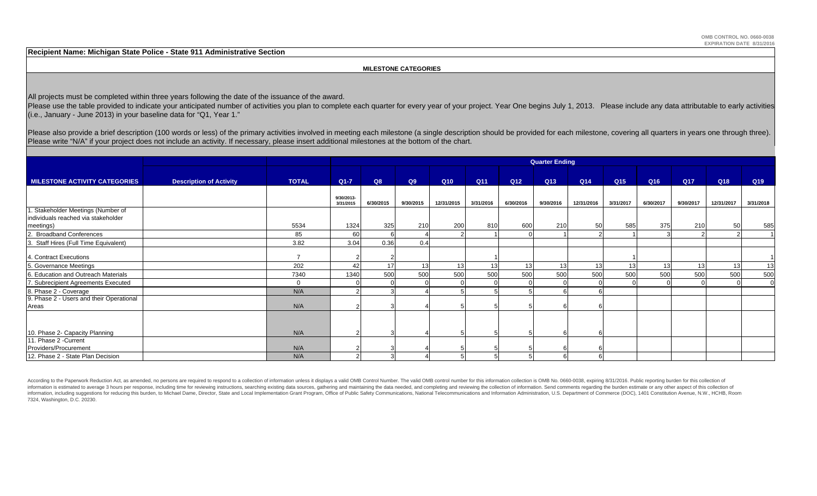**Recipient Name: Michigan State Police - State 911 Administrative Section**

#### **MILESTONE CATEGORIES**

All projects must be completed within three years following the date of the issuance of the award.

Please use the table provided to indicate your anticipated number of activities you plan to complete each quarter for every year of your project. Year One begins July 1, 2013. Please include any data attributable to early (i.e., January - June 2013) in your baseline data for "Q1, Year 1."

Please also provide a brief description (100 words or less) of the primary activities involved in meeting each milestone (a single description should be provided for each milestone, covering all quarters in years one throu Please write "N/A" if your project does not include an activity. If necessary, please insert additional milestones at the bottom of the chart.

|                                                                           |                                |               | <b>Quarter Ending</b>   |           |           |            |           |                 |           |            |                 |                 |                 |            |           |
|---------------------------------------------------------------------------|--------------------------------|---------------|-------------------------|-----------|-----------|------------|-----------|-----------------|-----------|------------|-----------------|-----------------|-----------------|------------|-----------|
| <b>MILESTONE ACTIVITY CATEGORIES</b>                                      | <b>Description of Activity</b> | <b>TOTAL</b>  | $Q1 - 7$                | Q8        | Q9        | Q10        | Q11       | Q <sub>12</sub> | Q13       | Q14        | Q <sub>15</sub> | Q <sub>16</sub> | Q <sub>17</sub> | Q18        | Q19       |
|                                                                           |                                |               | 9/30/2013-<br>3/31/2015 | 6/30/2015 | 9/30/2015 | 12/31/2015 | 3/31/2016 | 6/30/2016       | 9/30/2016 | 12/31/2016 | 3/31/2017       | 6/30/2017       | 9/30/2017       | 12/31/2017 | 3/31/2018 |
| 1. Stakeholder Meetings (Number of<br>individuals reached via stakeholder |                                |               |                         |           |           |            |           |                 |           |            |                 |                 |                 |            |           |
| meetings)<br>2. Broadband Conferences                                     |                                | 5534<br>85    | 1324<br>60              | 325       | 210       | 200        | 810       | 600             | 210       | 50         | 585             | 375             | 210             | 50         | 585       |
| 3. Staff Hires (Full Time Equivalent)                                     |                                | 3.82          | 3.04                    | 0.36      | 0.4       |            |           |                 |           |            |                 |                 |                 |            |           |
| 4. Contract Executions                                                    |                                | $\rightarrow$ |                         |           |           |            |           |                 |           |            |                 |                 |                 |            |           |
| 5. Governance Meetings                                                    |                                | 202           | 42                      | 17        | 13        | 13         | 13        | 13              | 13        | 13         | 13              | 13              | 13              | 13         | 13        |
| 6. Education and Outreach Materials                                       |                                | 7340          | 1340                    | 500       | 500       | 500        | 500       | 500             | 500       | 500        | 500             | 500             | 500             | 500        | 500       |
| 7. Subrecipient Agreements Executed                                       |                                | $\mathbf 0$   |                         |           |           |            |           |                 |           |            |                 |                 |                 |            |           |
| 8. Phase 2 - Coverage                                                     |                                | N/A           |                         |           |           |            |           |                 |           |            |                 |                 |                 |            |           |
| 9. Phase 2 - Users and their Operational<br>Areas                         |                                | N/A           |                         |           |           |            |           |                 |           |            |                 |                 |                 |            |           |
|                                                                           |                                |               |                         |           |           |            |           |                 |           |            |                 |                 |                 |            |           |
| 10. Phase 2- Capacity Planning                                            |                                | N/A           |                         |           |           |            |           |                 |           |            |                 |                 |                 |            |           |
| 11. Phase 2 - Current                                                     |                                |               |                         |           |           |            |           |                 |           |            |                 |                 |                 |            |           |
| Providers/Procurement                                                     |                                | N/A           |                         |           |           |            |           |                 |           |            |                 |                 |                 |            |           |
| 12. Phase 2 - State Plan Decision                                         |                                | N/A           |                         |           |           |            |           |                 |           |            |                 |                 |                 |            |           |

According to the Paperwork Reduction Act, as amended, no persons are required to respond to a collection of information unless it displays a valid OMB Control Number. The valid OMB control number for this information colle information is estimated to average 3 hours per response, including time for reviewing instructions, searching existing data sources, gathering and maintaining the data needed, and completing and reviewing the collection o information, including suggestions for reducing this burden, to Michael Dame, Director, State and Local Implementation Grant Program, Office of Public Safety Communications, National Telecommunications and Information Admi 7324, Washington, D.C. 20230.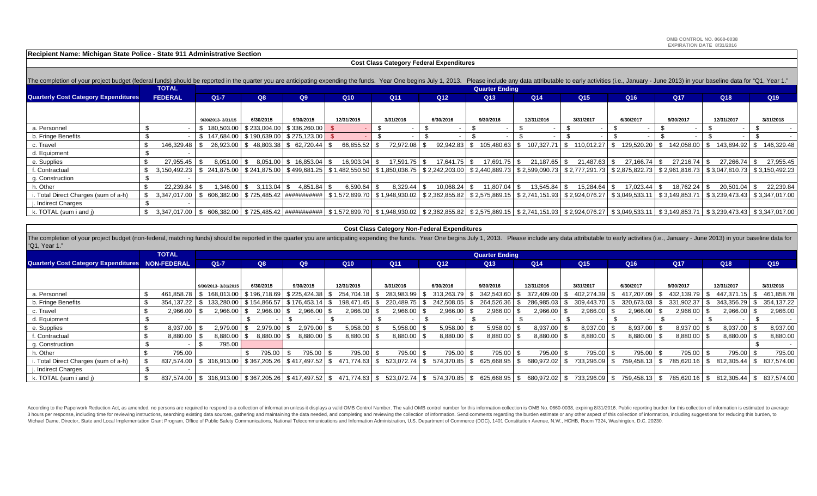**OMB CONTROL NO. 0660-0038EXPIRATION DATE 8/31/2016**

**Recipient Name: Michigan State Police - State 911 Administrative Section**

| <b>Cost Class Category Federal Expenditures</b> |                                                                                                                                                                                                                                |                   |                                                        |                                  |                                                           |                 |                 |                                                                                                                                                           |                |                    |                      |               |                                                                                                                                                                                                                            |                |
|-------------------------------------------------|--------------------------------------------------------------------------------------------------------------------------------------------------------------------------------------------------------------------------------|-------------------|--------------------------------------------------------|----------------------------------|-----------------------------------------------------------|-----------------|-----------------|-----------------------------------------------------------------------------------------------------------------------------------------------------------|----------------|--------------------|----------------------|---------------|----------------------------------------------------------------------------------------------------------------------------------------------------------------------------------------------------------------------------|----------------|
|                                                 |                                                                                                                                                                                                                                |                   |                                                        |                                  |                                                           |                 |                 |                                                                                                                                                           |                |                    |                      |               |                                                                                                                                                                                                                            |                |
|                                                 | The completion of your project budget (federal funds) should be reported in the quarter you are anticipating expending the funds. Year One begins July 1, 2013. Please include any data attributable to early activities (i.e. |                   |                                                        |                                  |                                                           |                 |                 |                                                                                                                                                           |                |                    |                      |               |                                                                                                                                                                                                                            |                |
|                                                 | <b>TOTAL</b>                                                                                                                                                                                                                   |                   |                                                        |                                  |                                                           |                 |                 | <b>Quarter Ending</b>                                                                                                                                     |                |                    |                      |               |                                                                                                                                                                                                                            |                |
| <b>Quarterly Cost Category Expenditures</b>     | <b>FEDERAL</b>                                                                                                                                                                                                                 | $Q1 - 7$          | Q8                                                     | Q9                               | Q <sub>10</sub>                                           | Q <sub>11</sub> | Q <sub>12</sub> | Q <sub>13</sub>                                                                                                                                           | Q14            | Q <sub>15</sub>    | Q <sub>16</sub>      | <b>Q17</b>    | Q <sub>18</sub>                                                                                                                                                                                                            | Q19            |
|                                                 |                                                                                                                                                                                                                                |                   |                                                        |                                  |                                                           |                 |                 |                                                                                                                                                           |                |                    |                      |               |                                                                                                                                                                                                                            |                |
|                                                 |                                                                                                                                                                                                                                | 9/30/2013-3/31/15 | 6/30/2015                                              | 9/30/2015                        | 12/31/2015                                                | 3/31/2016       | 6/30/2016       | 9/30/2016                                                                                                                                                 | 12/31/2016     | 3/31/2017          | 6/30/2017            | 9/30/2017     | 12/31/2017                                                                                                                                                                                                                 | 3/31/2018      |
| a. Personnel                                    |                                                                                                                                                                                                                                | \$180.503.00      |                                                        | $$233,004.00$ $$336,260.00$ \ \$ |                                                           |                 |                 |                                                                                                                                                           |                |                    |                      |               |                                                                                                                                                                                                                            |                |
| b. Fringe Benefits                              |                                                                                                                                                                                                                                |                   | $$147,684.00 \mid $190,639.00 \mid $275,123.00 \mid $$ |                                  |                                                           |                 |                 |                                                                                                                                                           |                |                    |                      |               |                                                                                                                                                                                                                            |                |
| c. Travel                                       | 146,329.48                                                                                                                                                                                                                     |                   | 26,923.00 \$48,803.38 \$62,720.44 \$                   |                                  | 66,855.52                                                 | 72,972.08       | $92,942.83$ \$  | 105,480.63   \$                                                                                                                                           | 107,327.71     | l \$<br>110,012.27 | 129,520.20 \$<br>\$  | 142,058.00 \$ | 143,894.92 \$                                                                                                                                                                                                              | 146,329.48     |
| d. Equipment                                    |                                                                                                                                                                                                                                |                   |                                                        |                                  |                                                           |                 |                 |                                                                                                                                                           |                |                    |                      |               |                                                                                                                                                                                                                            |                |
| e. Supplies                                     | 27,955.45                                                                                                                                                                                                                      | $8,051.00$ \$     |                                                        | $8,051.00$   \$ 16,853.04   \$   | 16,903.04                                                 | $17,591.75$ \$  | 17,641.75 \$    | 17,691.75 \$                                                                                                                                              | $21,187.65$ \$ | 21,487.63          | $27,166.74$ \$<br>\$ | 27,216.74     | 27,266.74 \$                                                                                                                                                                                                               | 27,955.45      |
| . Contractual                                   | 3,150,492.23                                                                                                                                                                                                                   |                   |                                                        |                                  | $$241,875.00$ $$241,875.00$ $$499,681.25$ $$1,482,550.50$ |                 |                 |                                                                                                                                                           |                |                    |                      |               | \$ 1,850,036.75   \$ 2,242,203.00   \$ 2,440,889.73   \$ 2,599,090.73   \$ 2,777,291.73   \$ 2,875,822.73   \$ 2,961,816.73   \$ 3,047,810.73                                                                              | \$3,150,492.23 |
| g. Construction                                 |                                                                                                                                                                                                                                |                   |                                                        |                                  |                                                           |                 |                 |                                                                                                                                                           |                |                    |                      |               |                                                                                                                                                                                                                            |                |
| . Other                                         | 22,239.84                                                                                                                                                                                                                      | 1,346.00 \$       | $3,113.04$ $\sqrt{5}$                                  | 4,851.84 \$                      | 6,590.64                                                  | 8,329.44        | $10,068.24$ \$  | 11,807.04                                                                                                                                                 | 13,545.84      | 15,284.64          | 17,023.44            | 18,762.24     | 20,501.04                                                                                                                                                                                                                  | 22,239.84      |
| . Total Direct Charges (sum of a-h)             | 3,347,017.00                                                                                                                                                                                                                   |                   |                                                        |                                  |                                                           |                 |                 | │ \$ 606,382.00 │ \$ 725,485.42 │########## │ \$ 1,572,899.70 │ \$ 1,948,930.02 │ \$ 2,362,855.82 │ \$ 2,575,869.15 │ \$ 2,741,151.93 │ \$ 2,924,076.27 │ |                |                    |                      |               | \$3,049,533.11   \$3,149,853.71   \$3,239,473.43                                                                                                                                                                           | \$3,347,017.00 |
| . Indirect Charges                              |                                                                                                                                                                                                                                |                   |                                                        |                                  |                                                           |                 |                 |                                                                                                                                                           |                |                    |                      |               |                                                                                                                                                                                                                            |                |
| k. TOTAL (sum i and j)                          | -S                                                                                                                                                                                                                             |                   |                                                        |                                  |                                                           |                 |                 |                                                                                                                                                           |                |                    |                      |               | 3,347,017.00 \$606,382.00 \$725,485.42 + ########## \$1,572,899.70 \$1,948,930.02 \$2,362,855.82 \$\$2,575,869.15 \$2,741,151.93 \$2,924,076.27 \$3,049,533.11 \$3,149,853.71 \$3,149,853.71 \$3,239,473.43 \$3,347,017.00 |                |

#### **Cost Class Category Non-Federal Expenditures**

The completion of your project budget (non-federal, matching funds) should be reported in the quarter you are anticipating expending the funds. Year One begins July 1, 2013. Please include any data attributable to early ac "Q1, Year 1."

|                                                         | <b>TOTAL</b> |                     | <b>Quarter Ending</b> |                                                                     |               |  |                                                                                                                                                           |  |                 |      |                 |      |                 |               |                 |                 |            |                                |                 |
|---------------------------------------------------------|--------------|---------------------|-----------------------|---------------------------------------------------------------------|---------------|--|-----------------------------------------------------------------------------------------------------------------------------------------------------------|--|-----------------|------|-----------------|------|-----------------|---------------|-----------------|-----------------|------------|--------------------------------|-----------------|
| <b>Quarterly Cost Category Expenditures NON-FEDERAL</b> |              | $Q1 - 7$            |                       | Q8                                                                  | Q9            |  | Q <sub>10</sub>                                                                                                                                           |  | Q <sub>11</sub> |      | Q <sub>12</sub> |      | Q <sub>13</sub> | Q14           | Q <sub>15</sub> | Q <sub>16</sub> | Q17        | Q18                            | Q <sub>19</sub> |
|                                                         |              |                     |                       |                                                                     |               |  |                                                                                                                                                           |  |                 |      |                 |      |                 |               |                 |                 |            |                                |                 |
|                                                         |              | 9/30/2013-3/31/2015 |                       | 6/30/2015                                                           | 9/30/2015     |  | 12/31/2015                                                                                                                                                |  | 3/31/2016       |      | 6/30/2016       |      | 9/30/2016       | 12/31/2016    | 3/31/2017       | 6/30/2017       | 9/30/2017  | 12/31/2017                     | 3/31/2018       |
| a. Personnel                                            | 461,858.78   | 168.013.00          |                       | \$196,718.69                                                        |               |  | 254,704.18                                                                                                                                                |  | 283,983.99      |      | 313,263.79      |      | 342,543.60      | 372,409.00    | 402,274.39      | 417,207.09      | 432,139.79 | 447,371.15                     | 461,858.78      |
| b. Fringe Benefits                                      | 354,137.22   | 133.280.00          |                       | $\frac{1}{2}$ \$154,866.57 $\frac{1}{2}$ \$176,453.14 $\frac{1}{2}$ |               |  | 198,471.45                                                                                                                                                |  | 220,489.75      |      | 242,508.05      | ∣\$. | 264,526.36 \$   | 286,985.03 \$ | 309,443.70 \$   | 320,673.03      | 331,902.37 | 343,356.29                     | 354,137.22      |
| c. Travel                                               | 2,966.00     | 2,966.00            |                       | 2,966.00 \$                                                         | $2,966.00$ \$ |  | 2,966.00                                                                                                                                                  |  | 2,966.00        |      | 2,966.00        |      | 2,966.00        | $2,966.00$ \$ | 2,966.00        | 2,966.00        | 2,966.00   | $2,966.00$ \$                  | 2,966.00        |
| d. Equipment                                            |              |                     |                       |                                                                     |               |  |                                                                                                                                                           |  |                 |      |                 |      |                 |               |                 |                 |            |                                |                 |
| e. Supplies                                             | 8,937.00     | 2,979.00            |                       | 2,979.00                                                            | 2,979.00 \$   |  | 5,958.00                                                                                                                                                  |  | $5,958.00$ \$   |      | 5,958.00        |      | 5,958.00        | 8,937.00 \$   | 8,937.00        | 8,937.00        | 8,937.00   | 8,937.00 \$                    | 8,937.00        |
| f. Contractual                                          | 8,880.00     | 8,880.00            |                       | 8,880.00 \$                                                         | 8,880.00 \$   |  | 8,880.00                                                                                                                                                  |  | 8,880.00 \$     |      | 8,880.00        |      | 8,880.00        | 8,880.00 \$   | $8,880.00$ \$   | 8,880.00 \$     | 8,880.00   | $8,880.00$ \$                  | 8,880.00        |
| g. Construction                                         |              | 795.00              |                       |                                                                     |               |  |                                                                                                                                                           |  |                 |      |                 |      |                 |               |                 |                 |            |                                |                 |
| h. Other                                                | 795.00       |                     |                       | 795.00                                                              | 795.00        |  | 795.00                                                                                                                                                    |  | 795.00          |      | 795.00          |      | 795.00          | 795.00 \$     | 795.00          | 795.00          | 795.00     | 795.00 \$                      | 795.00          |
| . Total Direct Charges (sum of a-h)                     | 837.574.00   | \$ 316,913.00       |                       | \$367,205.26   \$417,497.52   \$                                    |               |  | 471,774.63                                                                                                                                                |  | 523,072.74      | - \$ | 574,370.85 \$   |      | 625,668.95      | 680,972.02 \$ | 733,296.09      | 759,458.13      | 785,620.16 | 812,305.44   \$ 837,574.00     |                 |
| . Indirect Charges                                      |              |                     |                       |                                                                     |               |  |                                                                                                                                                           |  |                 |      |                 |      |                 |               |                 |                 |            |                                |                 |
| k. TOTAL (sum i and j)                                  |              |                     |                       |                                                                     |               |  | 837,574.00 \$ 316,913.00 \$ 367,205.26 \$ 417,497.52 \$ 471,774.63 \$ 523,072.74 \$ 574,370.85 \$ 625,668.95 \$ 680,972.02 \$ 733,296.09 \$ 759,458.13 \$ |  |                 |      |                 |      |                 |               |                 |                 | 785,620.16 | $$812,305.44 \mid $837,574.00$ |                 |

According to the Paperwork Reduction Act, as amended, no persons are required to respond to a collection of information unless it displays a valid OMB Control Number. The valid CMB control number for this information colle 3 hours per response, including time for reviewing instructions, searching existing data sources, gathering ada maintaining the data needed, and completing and reviewing the collection of information. Send comments regardi Michael Dame, Director, State and Local Implementation Grant Program, Office of Public Safety Communications, National Telecommunications and Information Administration, U.S. Department of Commerce (DOC), 1401 Constitution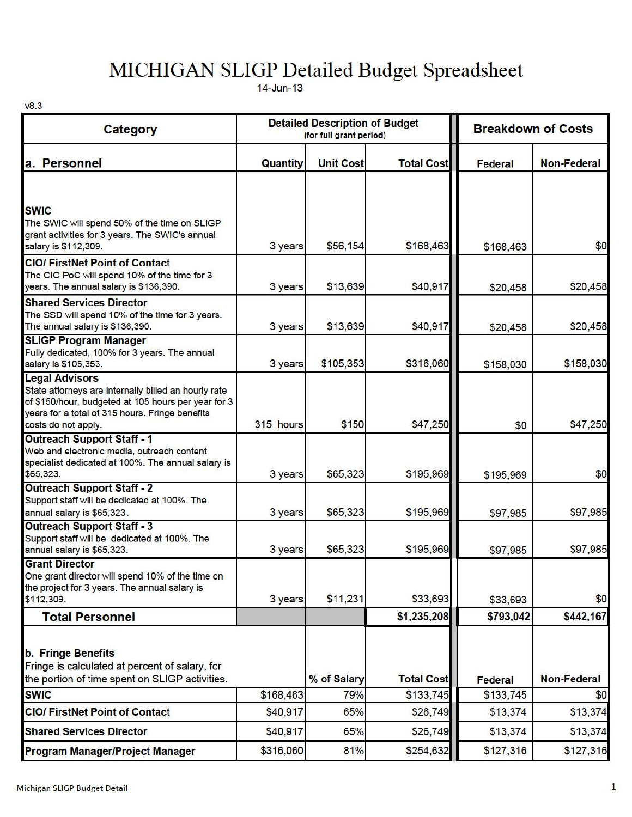# MICHIGAN SLIGP Detailed Budget Spreadsheet

14-Jun-13

v8.3

| <b>Category</b>                                                                                                                                                                                                |           | <b>Detailed Description of Budget</b><br>(for full grant period) |                   | <b>Breakdown of Costs</b> |                    |  |  |
|----------------------------------------------------------------------------------------------------------------------------------------------------------------------------------------------------------------|-----------|------------------------------------------------------------------|-------------------|---------------------------|--------------------|--|--|
| a. Personnel                                                                                                                                                                                                   | Quantity  | <b>Unit Cost</b>                                                 | <b>Total Cost</b> | <b>Federal</b>            | <b>Non-Federal</b> |  |  |
| <b>SWIC</b><br>The SWIC will spend 50% of the time on SLIGP                                                                                                                                                    |           |                                                                  |                   |                           |                    |  |  |
| grant activities for 3 years. The SWIC's annual<br>salary is \$112,309.                                                                                                                                        | 3 years   | \$56,154                                                         | \$168,463         | \$168,463                 | \$0                |  |  |
| <b>CIO/FirstNet Point of Contact</b><br>The CIO PoC will spend 10% of the time for 3<br>years. The annual salary is \$136,390.                                                                                 | 3 years   | \$13,639                                                         | \$40,917          | \$20,458                  | \$20,458           |  |  |
| <b>Shared Services Director</b><br>The SSD will spend 10% of the time for 3 years.<br>The annual salary is \$136,390.                                                                                          | 3 years   | \$13,639                                                         | \$40,917          | \$20,458                  | \$20,458           |  |  |
| <b>SLIGP Program Manager</b><br>Fully dedicated, 100% for 3 years. The annual<br>salary is \$105,353.                                                                                                          | 3 years   | \$105,353                                                        | \$316,060         | \$158,030                 | \$158,030          |  |  |
| <b>Legal Advisors</b><br>State attorneys are internally billed an hourly rate<br>of \$150/hour, budgeted at 105 hours per year for 3<br>years for a total of 315 hours. Fringe benefits<br>costs do not apply. | 315 hours | \$150                                                            | \$47,250          | \$0                       | \$47,250           |  |  |
| <b>Outreach Support Staff - 1</b><br>Web and electronic media, outreach content<br>specialist dedicated at 100%. The annual salary is<br>\$65,323.                                                             | 3 years   | \$65,323                                                         | \$195,969         | \$195,969                 | \$0                |  |  |
| <b>Outreach Support Staff - 2</b><br>Support staff will be dedicated at 100%. The<br>annual salary is \$65,323.                                                                                                | 3 years   | \$65,323                                                         | \$195,969         | \$97,985                  | \$97,985           |  |  |
| <b>Outreach Support Staff - 3</b><br>Support staff will be dedicated at 100%. The<br>annual salary is \$65,323.                                                                                                | 3 years   | \$65,323                                                         | \$195,969         | \$97,985                  | \$97,985           |  |  |
| <b>Grant Director</b><br>One grant director will spend 10% of the time on<br>the project for 3 years. The annual salary is<br>\$112,309.                                                                       | 3 years   | \$11,231                                                         | \$33,693          | \$33,693                  | \$0                |  |  |
| <b>Total Personnel</b>                                                                                                                                                                                         |           |                                                                  | \$1,235,208       | \$793,042                 | \$442,167          |  |  |
| <b>b. Fringe Benefits</b><br>Fringe is calculated at percent of salary, for<br>the portion of time spent on SLIGP activities.                                                                                  |           | % of Salary                                                      | <b>Total Cost</b> | Federal                   | <b>Non-Federal</b> |  |  |
| <b>SWIC</b>                                                                                                                                                                                                    | \$168,463 | 79%                                                              | \$133,745         | \$133,745                 | \$0                |  |  |
| <b>CIO/ FirstNet Point of Contact</b>                                                                                                                                                                          | \$40,917  | 65%                                                              | \$26,749          | \$13,374                  | \$13,374           |  |  |
| <b>Shared Services Director</b>                                                                                                                                                                                | \$40,917  | 65%                                                              | \$26,749          | \$13,374                  | \$13,374           |  |  |
| <b>Program Manager/Project Manager</b>                                                                                                                                                                         | \$316,060 | 81%                                                              | \$254,632         | \$127,316                 | \$127,316          |  |  |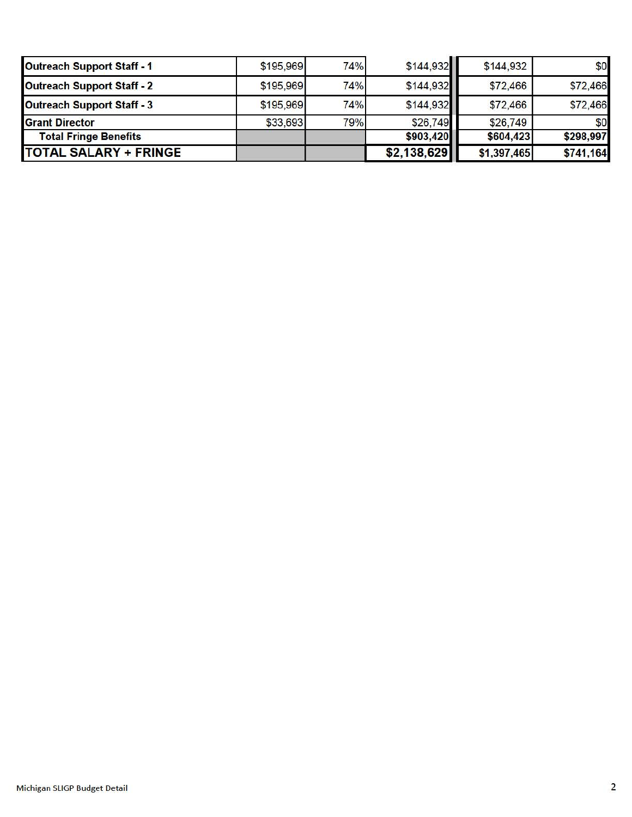| <b>Outreach Support Staff - 1</b> | \$195,969 | 74% | \$144,932   | \$144,932   | \$0       |
|-----------------------------------|-----------|-----|-------------|-------------|-----------|
| <b>Outreach Support Staff - 2</b> | \$195,969 | 74% | \$144,932   | \$72,466    | \$72,466  |
| <b>Outreach Support Staff - 3</b> | \$195,969 | 74% | \$144,932   | \$72,466    | \$72,466  |
| <b>Grant Director</b>             | \$33,693  | 79% | \$26,749    | \$26,749    | \$0       |
| <b>Total Fringe Benefits</b>      |           |     | \$903,420   | \$604,423   | \$298,997 |
| <b>TOTAL SALARY + FRINGE</b>      |           |     | \$2,138,629 | \$1,397,465 | \$741,164 |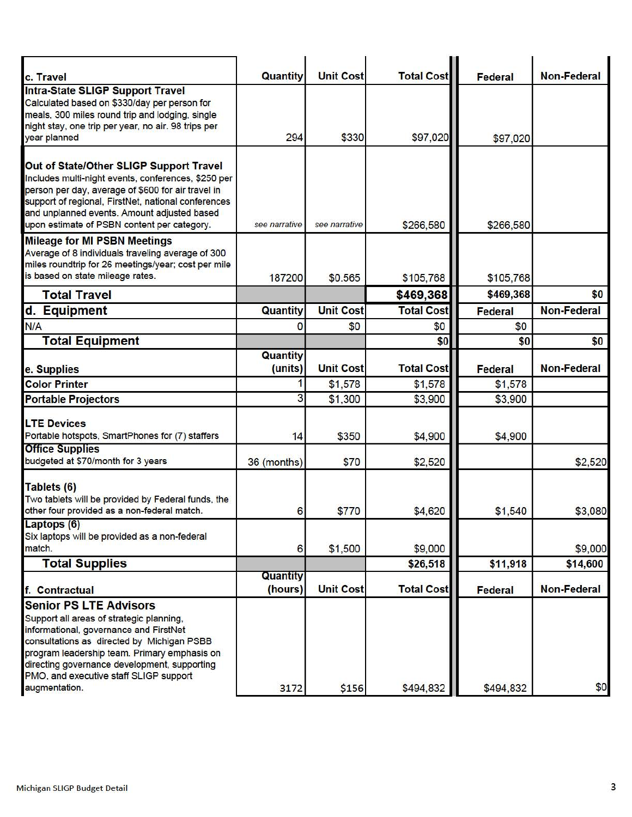| c. Travel                                                                                                                                                                                                                                                                                                                    | Quantity            | <b>Unit Cost</b> | <b>Total Cost</b> | Federal        | <b>Non-Federal</b> |
|------------------------------------------------------------------------------------------------------------------------------------------------------------------------------------------------------------------------------------------------------------------------------------------------------------------------------|---------------------|------------------|-------------------|----------------|--------------------|
| <b>Intra-State SLIGP Support Travel</b><br>Calculated based on \$330/day per person for<br>meals, 300 miles round trip and lodging, single<br>night stay, one trip per year, no air. 98 trips per<br>year planned                                                                                                            | 294                 | \$330            | \$97,020          | \$97,020       |                    |
|                                                                                                                                                                                                                                                                                                                              |                     |                  |                   |                |                    |
| Out of State/Other SLIGP Support Travel<br>Includes multi-night events, conferences, \$250 per<br>person per day, average of \$600 for air travel in<br>support of regional, FirstNet, national conferences<br>and unplanned events. Amount adjusted based<br>upon estimate of PSBN content per category.                    | see narrative       | see narrative    | \$266,580         | \$266,580      |                    |
| <b>Mileage for MI PSBN Meetings</b><br>Average of 8 individuals traveling average of 300<br>miles roundtrip for 26 meetings/year; cost per mile<br>is based on state mileage rates.                                                                                                                                          | 187200              | \$0.565          | \$105,768         | \$105,768      |                    |
| <b>Total Travel</b>                                                                                                                                                                                                                                                                                                          |                     |                  | \$469,368         | \$469,368      | \$0                |
| d. Equipment                                                                                                                                                                                                                                                                                                                 | Quantity            | <b>Unit Cost</b> | <b>Total Cost</b> | <b>Federal</b> | <b>Non-Federal</b> |
| N/A                                                                                                                                                                                                                                                                                                                          | 0                   | \$0              | \$0               | \$0            |                    |
| <b>Total Equipment</b>                                                                                                                                                                                                                                                                                                       |                     |                  | \$0               | \$0            | \$0                |
| e. Supplies                                                                                                                                                                                                                                                                                                                  | Quantity<br>(units) | <b>Unit Cost</b> | <b>Total Cost</b> | Federal        | <b>Non-Federal</b> |
| <b>Color Printer</b>                                                                                                                                                                                                                                                                                                         |                     | \$1,578          | \$1,578           | \$1,578        |                    |
| <b>Portable Projectors</b>                                                                                                                                                                                                                                                                                                   | 3                   | \$1,300          | \$3,900           | \$3,900        |                    |
| <b>LTE Devices</b><br>Portable hotspots, SmartPhones for (7) staffers<br><b>Office Supplies</b>                                                                                                                                                                                                                              | 14                  | \$350            | \$4,900           | \$4,900        |                    |
| budgeted at \$70/month for 3 years                                                                                                                                                                                                                                                                                           | 36 (months)         | \$70             | \$2,520           |                | \$2,520            |
| Tablets (6)<br>Two tablets will be provided by Federal funds, the<br>other four provided as a non-federal match.                                                                                                                                                                                                             | 6                   | \$770            | \$4,620           | \$1,540        | \$3,080            |
| Laptops (6)<br>Six laptops will be provided as a non-federal<br>match.                                                                                                                                                                                                                                                       | 6                   | \$1,500          | \$9,000           |                | \$9,000            |
| <b>Total Supplies</b>                                                                                                                                                                                                                                                                                                        |                     |                  | \$26,518          | \$11,918       | \$14,600           |
| f. Contractual                                                                                                                                                                                                                                                                                                               | Quantity<br>(hours) | <b>Unit Cost</b> | <b>Total Cost</b> | Federal        | <b>Non-Federal</b> |
| <b>Senior PS LTE Advisors</b><br>Support all areas of strategic planning,<br>informational, governance and FirstNet<br>consultations as directed by Michigan PSBB<br>program leadership team. Primary emphasis on<br>directing governance development, supporting<br>PMO, and executive staff SLIGP support<br>augmentation. | 3172                | \$156            | \$494,832         | \$494,832      | \$0                |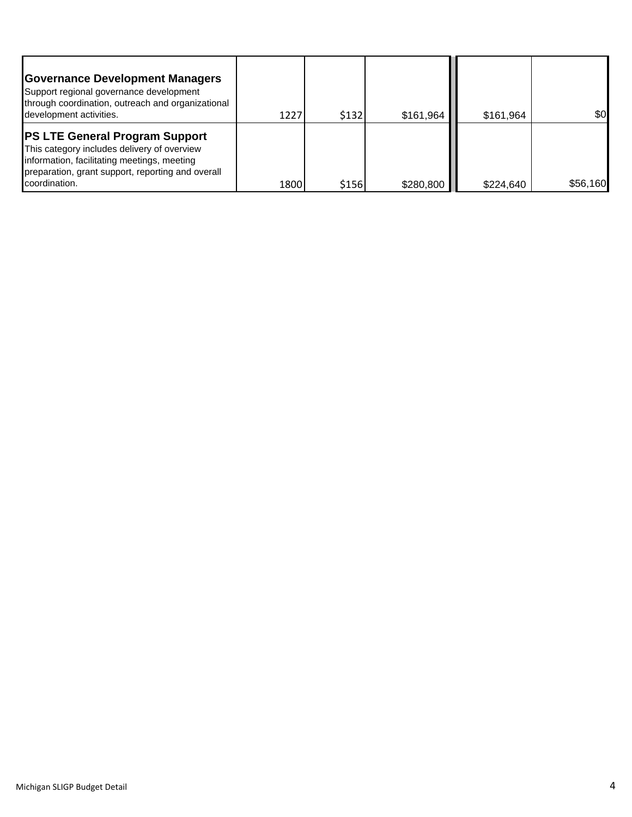| <b>Governance Development Managers</b><br>Support regional governance development<br>through coordination, outreach and organizational<br>development activities.                                         | 1227 | \$132 | \$161,964 | \$161,964 | \$0      |
|-----------------------------------------------------------------------------------------------------------------------------------------------------------------------------------------------------------|------|-------|-----------|-----------|----------|
| <b>PS LTE General Program Support</b><br>This category includes delivery of overview<br>information, facilitating meetings, meeting<br>preparation, grant support, reporting and overall<br>coordination. | 1800 | \$156 | \$280,800 | \$224.640 | \$56,160 |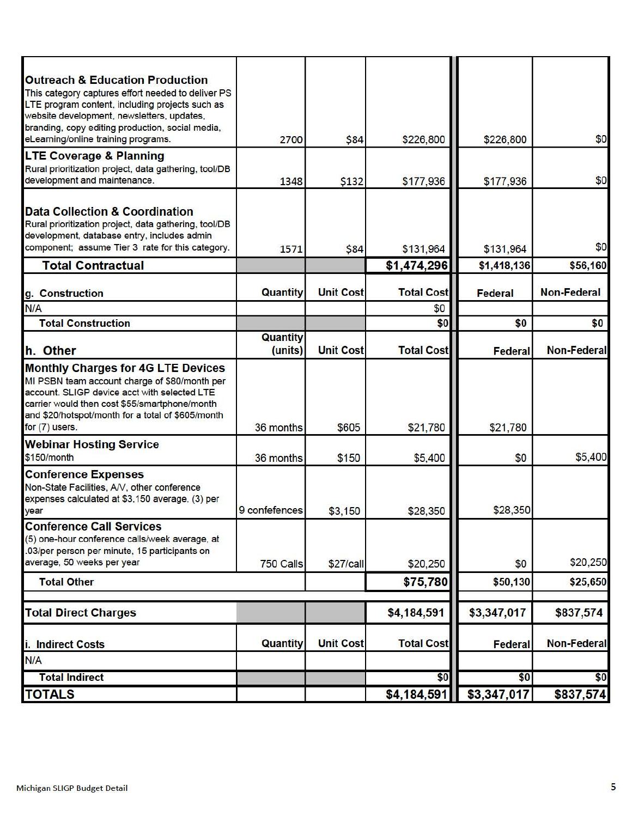| <b>Outreach &amp; Education Production</b>                                                            |                            |                  |                   |                |                    |
|-------------------------------------------------------------------------------------------------------|----------------------------|------------------|-------------------|----------------|--------------------|
| This category captures effort needed to deliver PS<br>LTE program content, including projects such as |                            |                  |                   |                |                    |
| website development, newsletters, updates,<br>branding, copy editing production, social media,        |                            |                  |                   |                |                    |
| eLearning/online training programs.                                                                   | 2700                       | \$84             | \$226,800         | \$226,800      | \$0                |
| <b>LTE Coverage &amp; Planning</b><br>Rural prioritization project, data gathering, tool/DB           |                            |                  |                   |                |                    |
| development and maintenance.                                                                          | 1348                       | \$132            | \$177,936         | \$177,936      | \$0                |
| <b>Data Collection &amp; Coordination</b>                                                             |                            |                  |                   |                |                    |
| Rural prioritization project, data gathering, tool/DB                                                 |                            |                  |                   |                |                    |
| development, database entry, includes admin<br>component; assume Tier 3 rate for this category.       | 1571                       | \$84             | \$131,964         | \$131,964      | \$0                |
| <b>Total Contractual</b>                                                                              |                            |                  | \$1,474,296       | \$1,418,136    | \$56,160           |
|                                                                                                       |                            |                  |                   |                |                    |
| g. Construction                                                                                       | Quantity                   | <b>Unit Cost</b> | <b>Total Cost</b> | Federal        | <b>Non-Federal</b> |
| N/A                                                                                                   |                            |                  | \$0               |                |                    |
| <b>Total Construction</b>                                                                             |                            |                  | \$0               | \$0            | \$0                |
| h. Other                                                                                              | <b>Quantity</b><br>(units) | <b>Unit Cost</b> | <b>Total Cost</b> | <b>Federal</b> | <b>Non-Federal</b> |
| <b>Monthly Charges for 4G LTE Devices</b>                                                             |                            |                  |                   |                |                    |
| MI PSBN team account charge of \$80/month per<br>account. SLIGP device acct with selected LTE         |                            |                  |                   |                |                    |
| carrier would then cost \$55/smartphone/month                                                         |                            |                  |                   |                |                    |
| and \$20/hotspot/month for a total of \$605/month                                                     |                            |                  |                   |                |                    |
| for $(7)$ users.                                                                                      | 36 months                  | \$605            | \$21,780          | \$21,780       |                    |
| <b>Webinar Hosting Service</b><br>\$150/month                                                         | 36 months                  | \$150            | \$5,400           | \$0            | \$5,400            |
| <b>Conference Expenses</b>                                                                            |                            |                  |                   |                |                    |
| Non-State Facilities, A/V, other conference                                                           |                            |                  |                   |                |                    |
| expenses calculated at \$3,150 average, (3) per                                                       |                            |                  |                   |                |                    |
| year                                                                                                  | 9 conferences              | \$3,150          | \$28,350          | \$28,350       |                    |
| <b>Conference Call Services</b><br>(5) one-hour conference calls/week average, at                     |                            |                  |                   |                |                    |
| .03/per person per minute, 15 participants on                                                         |                            |                  |                   |                |                    |
| average, 50 weeks per year                                                                            | 750 Calls                  | \$27/call        | \$20,250          | \$0            | \$20,250           |
| <b>Total Other</b>                                                                                    |                            |                  | \$75,780          | \$50,130       | \$25,650           |
|                                                                                                       |                            |                  |                   | \$3,347,017    |                    |
| <b>Total Direct Charges</b>                                                                           |                            |                  | \$4,184,591       |                | \$837,574          |
| i. Indirect Costs                                                                                     | Quantity                   | <b>Unit Cost</b> | <b>Total Cost</b> | Federal        | <b>Non-Federal</b> |
| N/A                                                                                                   |                            |                  |                   |                |                    |
| <b>Total Indirect</b>                                                                                 |                            |                  | \$0               | \$0            | \$0                |
| <b>TOTALS</b>                                                                                         |                            |                  | \$4,184,591       | \$3,347,017    | \$837,574          |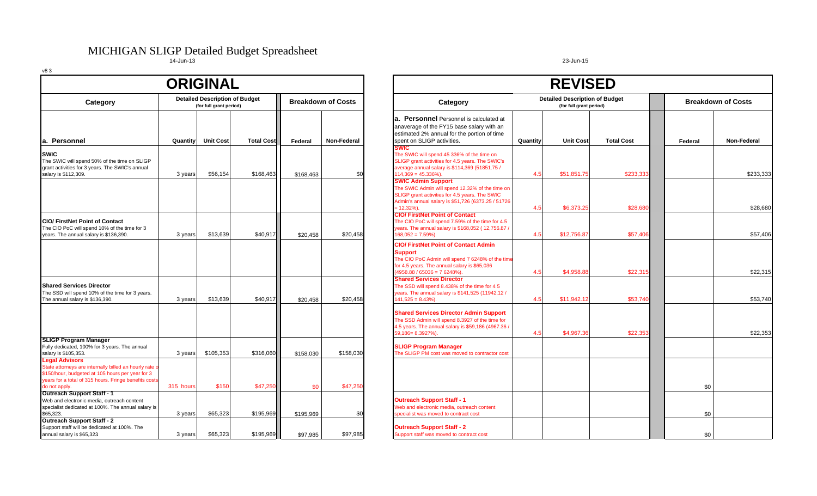# MICHIGAN SLIGP Detailed Budget Spreadsheet<br>14-Jun-13 23-Jun-15

|                                                                                                                                                                                     |                                                                  | <b>ORIGINAL</b>  |                   |           |                           |                                                                                                                                                                                                        |          | <b>REVISED</b>                                                   |                   |               |
|-------------------------------------------------------------------------------------------------------------------------------------------------------------------------------------|------------------------------------------------------------------|------------------|-------------------|-----------|---------------------------|--------------------------------------------------------------------------------------------------------------------------------------------------------------------------------------------------------|----------|------------------------------------------------------------------|-------------------|---------------|
| Category                                                                                                                                                                            | <b>Detailed Description of Budget</b><br>(for full grant period) |                  |                   |           | <b>Breakdown of Costs</b> | Category                                                                                                                                                                                               |          | <b>Detailed Description of Budget</b><br>(for full grant period) |                   | <b>Breakd</b> |
| la. Personnel                                                                                                                                                                       | Quantity                                                         | <b>Unit Cost</b> | <b>Total Cost</b> | Federal   | Non-Federal               | a. Personnel Personnel is calculated at<br>anaverage of the FY15 base salary with an<br>estimated 2% annual for the portion of time<br>spent on SLIGP activities.                                      | Quantity | <b>Unit Cost</b>                                                 | <b>Total Cost</b> | Federal       |
| <b>SWIC</b><br>The SWIC will spend 50% of the time on SLIGP<br>grant activities for 3 years. The SWIC's annual<br>salary is \$112,309.                                              | 3 years                                                          | \$56,154         | \$168,463         | \$168,463 | \$0                       | <b>SWIC</b><br>The SWIC will spend 45 336% of the time on<br>SLIGP grant activities for 4.5 years. The SWIC's<br>average annual salary is \$114,369 (51851.75 /<br>$114,369 = 45.336\%$ ).             | 4.5      | \$51,851.75                                                      | \$233,333         |               |
|                                                                                                                                                                                     |                                                                  |                  |                   |           |                           | <b>SWIC Admin Support</b><br>The SWIC Admin will spend 12.32% of the time on<br>SLIGP grant activities for 4.5 years. The SWIC<br>Admin's annual salary is \$51,726 (6373.25 / 51726<br>$= 12.32\%)$ . | 4.5      | \$6,373,25                                                       | \$28,680          |               |
| <b>CIO/ FirstNet Point of Contact</b><br>The CIO PoC will spend 10% of the time for 3<br>years. The annual salary is \$136,390.                                                     | 3 years                                                          | \$13,639         | \$40,917          | \$20,458  | \$20,458                  | <b>CIO/ FirstNet Point of Contact</b><br>The CIO PoC will spend 7.59% of the time for 4.5<br>years. The annual salary is \$168,052 (12,756.87 /<br>$168,052 = 7.59\%)$                                 | 4.5      | \$12,756.87                                                      | \$57,406          |               |
|                                                                                                                                                                                     |                                                                  |                  |                   |           |                           | <b>CIO/ FirstNet Point of Contact Admin</b><br><b>Support</b><br>The CIO PoC Admin will spend 7 6248% of the time<br>for 4.5 years. The annual salary is \$65,036<br>$4958.88 / 65036 = 76248%$ .      | 4.5      | \$4.958.88                                                       | \$22,315          |               |
| <b>Shared Services Director</b><br>The SSD will spend 10% of the time for 3 years.<br>The annual salary is \$136,390.                                                               | 3 years                                                          | \$13,639         | \$40,917          | \$20.458  | \$20,458                  | <b>Shared Services Director</b><br>The SSD will spend 8.438% of the time for 4 5<br>years. The annual salary is \$141,525 (11942.12 /<br>$141,525 = 8.43\%$ ).                                         | 4.5      | \$11,942.12                                                      | \$53,740          |               |
|                                                                                                                                                                                     |                                                                  |                  |                   |           |                           | <b>Shared Services Director Admin Support</b><br>The SSD Admin will spend 8.3927 of the time for<br>4.5 years. The annual salary is \$59,186 (4967.36 /<br>59,186=8.3927%).                            | 4.5      | \$4,967.36                                                       | \$22,353          |               |
| <b>SLIGP Program Manager</b><br>Fully dedicated, 100% for 3 years. The annual<br>salary is \$105,353.<br><b>Legal Advisors</b>                                                      | 3 years                                                          | \$105,353        | \$316,060         | \$158.030 | \$158,030                 | <b>SLIGP Program Manager</b><br>The SLIGP PM cost was moved to contractor cost                                                                                                                         |          |                                                                  |                   |               |
| State attorneys are internally billed an hourly rate o<br>\$150/hour, budgeted at 105 hours per year for 3<br>years for a total of 315 hours. Fringe benefits cost<br>do not apply. | 315 hours                                                        | \$150            | \$47,250          | \$0       | \$47,250                  |                                                                                                                                                                                                        |          |                                                                  |                   | \$0           |
| <b>Outreach Support Staff - 1</b><br>Web and electronic media, outreach content<br>specialist dedicated at 100%. The annual salary is<br>\$65,323.                                  | 3 years                                                          | \$65,323         | \$195,969         | \$195,969 | \$0                       | <b>Outreach Support Staff - 1</b><br>Web and electronic media, outreach content<br>specialist was moved to contract cost                                                                               |          |                                                                  |                   | \$0           |
| Outreach Support Staff - 2<br>Support staff will be dedicated at 100%. The<br>annual salary is \$65,323                                                                             | 3 years                                                          | \$65,323         | \$195,969         | \$97.985  | \$97,985                  | <b>Outreach Support Staff - 2</b><br>Support staff was moved to contract cost                                                                                                                          |          |                                                                  |                   | \$0           |

## **a. Personnel** Personnel is calculated at anaverage of the FY15 base salary with an estimated 2% annual for the portion of time **SWIC**The SWIC will spend 45 336% of the time on **REVISED Detailed Description of Budget (for full grant period)**

| <b>a. Personnel</b> Personnel is calculated at                                                         |          |                  |                   |         |             |
|--------------------------------------------------------------------------------------------------------|----------|------------------|-------------------|---------|-------------|
| anaverage of the FY15 base salary with an                                                              |          |                  |                   |         |             |
| estimated 2% annual for the portion of time                                                            |          |                  |                   |         |             |
| spent on SLIGP activities.                                                                             | Quantity | <b>Unit Cost</b> | <b>Total Cost</b> | Federal | Non-Federal |
| <b>SWIC</b>                                                                                            |          |                  |                   |         |             |
| The SWIC will spend 45 336% of the time on                                                             |          |                  |                   |         |             |
| SLIGP grant activities for 4.5 years. The SWIC's                                                       |          |                  |                   |         |             |
| average annual salary is \$114,369 (51851.75 /                                                         |          |                  |                   |         |             |
| $114,369 = 45.336\%$ ).                                                                                | 4.5      | \$51,851.75      | \$233,333         |         | \$233,333   |
| <b>SWIC Admin Support</b>                                                                              |          |                  |                   |         |             |
| The SWIC Admin will spend 12.32% of the time on                                                        |          |                  |                   |         |             |
| SLIGP grant activities for 4.5 years. The SWIC                                                         |          |                  |                   |         |             |
| Admin's annual salary is \$51,726 (6373.25 / 51726                                                     |          |                  |                   |         |             |
| = 12.32%).                                                                                             | 4.5      | \$6,373.25       | \$28,680          |         | \$28,680    |
| <b>CIO/ FirstNet Point of Contact</b>                                                                  |          |                  |                   |         |             |
| The CIO PoC will spend 7.59% of the time for 4.5                                                       |          |                  |                   |         |             |
| years. The annual salary is \$168,052 (12,756.87 /                                                     |          |                  |                   |         |             |
| $168,052 = 7.59\%$ ).                                                                                  | 4.5      | \$12.756.87      | \$57,406          |         | \$57,406    |
| <b>CIO/ FirstNet Point of Contact Admin</b>                                                            |          |                  |                   |         |             |
| <b>Support</b>                                                                                         |          |                  |                   |         |             |
| The CIO PoC Admin will spend 7 6248% of the time                                                       |          |                  |                   |         |             |
| for 4.5 years. The annual salary is \$65,036                                                           |          |                  |                   |         |             |
| $(4958.88 / 65036 = 76248$ %).                                                                         | 4.5      | \$4,958.88       | \$22,315          |         | \$22,315    |
| <b>Shared Services Director</b>                                                                        |          |                  |                   |         |             |
| The SSD will spend 8.438% of the time for 4 5                                                          |          |                  |                   |         |             |
| years. The annual salary is \$141,525 (11942.12 /                                                      |          |                  |                   |         |             |
| $141,525 = 8.43\%$ ).                                                                                  | 4.5      | \$11,942.12      | \$53,740          |         | \$53,740    |
| <b>Shared Services Director Admin Support</b>                                                          |          |                  |                   |         |             |
|                                                                                                        |          |                  |                   |         |             |
| The SSD Admin will spend 8.3927 of the time for<br>4.5 years. The annual salary is \$59,186 (4967.36 / |          |                  |                   |         |             |
| 59,186=8.3927%).                                                                                       | 4.5      | \$4.967.36       | \$22,353          |         | \$22,353    |
|                                                                                                        |          |                  |                   |         |             |
| <b>SLIGP Program Manager</b>                                                                           |          |                  |                   |         |             |
| The SLIGP PM cost was moved to contractor cost                                                         |          |                  |                   |         |             |
|                                                                                                        |          |                  |                   |         |             |
|                                                                                                        |          |                  |                   |         |             |
|                                                                                                        |          |                  |                   |         |             |
|                                                                                                        |          |                  |                   |         |             |
|                                                                                                        |          |                  |                   | \$0     |             |
| <b>Outreach Support Staff - 1</b>                                                                      |          |                  |                   |         |             |
| Web and electronic media, outreach content                                                             |          |                  |                   |         |             |
| specialist was moved to contract cost                                                                  |          |                  |                   | \$0     |             |
|                                                                                                        |          |                  |                   |         |             |
|                                                                                                        |          |                  |                   |         |             |
|                                                                                                        |          |                  |                   | \$0     |             |
| <b>Outreach Support Staff - 2</b><br>Support staff was moved to contract cost                          |          |                  |                   |         |             |

**Breakdown of Costs**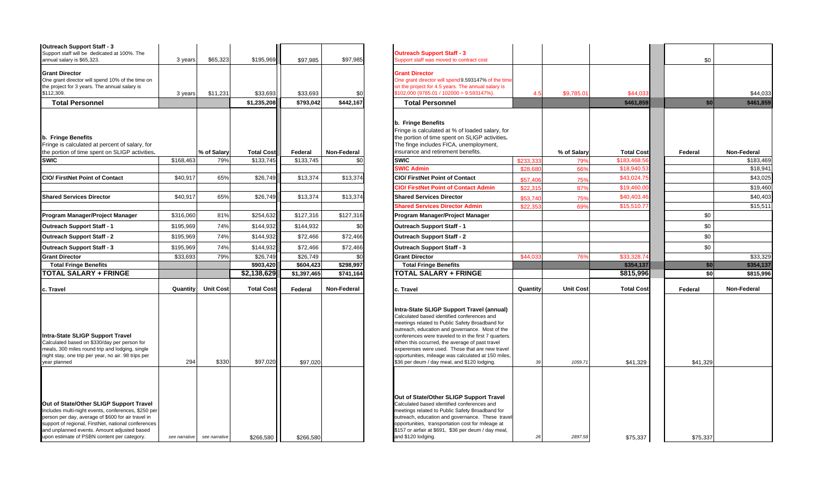| Outreach Support Staff - 3<br>Support staff will be dedicated at 100%. The                                                                                                                                                                                                                                |               |                  |                   |             |             | <b>Outreach Support Staff - 3</b>                                                                                                                                                                                                                                                                                                                                                                                                                                   |           |                  |                   |         |
|-----------------------------------------------------------------------------------------------------------------------------------------------------------------------------------------------------------------------------------------------------------------------------------------------------------|---------------|------------------|-------------------|-------------|-------------|---------------------------------------------------------------------------------------------------------------------------------------------------------------------------------------------------------------------------------------------------------------------------------------------------------------------------------------------------------------------------------------------------------------------------------------------------------------------|-----------|------------------|-------------------|---------|
| annual salary is \$65,323.                                                                                                                                                                                                                                                                                | 3 years       | \$65,323         | \$195,969         | \$97.985    | \$97,985    | Support staff was moved to contract cost                                                                                                                                                                                                                                                                                                                                                                                                                            |           |                  |                   | \$0     |
| <b>Grant Director</b><br>One grant director will spend 10% of the time on<br>the project for 3 years. The annual salary is<br>\$112,309.                                                                                                                                                                  | 3 years       | \$11,231         | \$33,693          | \$33,693    | \$0         | <b>Grant Director</b><br>One grant director will spend 9.593147% of the time<br>on the project for 4.5 years. The annual salary is<br>$$102,000 (9785.01 / 102000 = 9.593147%)$                                                                                                                                                                                                                                                                                     | 4.5       | \$9,785.01       | \$44.033          |         |
| <b>Total Personnel</b>                                                                                                                                                                                                                                                                                    |               |                  | \$1,235,208       | \$793.042   | \$442,167   | <b>Total Personnel</b>                                                                                                                                                                                                                                                                                                                                                                                                                                              |           |                  | \$461.859         |         |
| b. Fringe Benefits<br>Fringe is calculated at percent of salary, for<br>the portion of time spent on SLIGP activities.                                                                                                                                                                                    |               | % of Salary      | <b>Total Cost</b> | Federal     | Non-Federal | b. Fringe Benefits<br>Fringe is calculated at % of loaded salary, for<br>the portion of time spent on SLIGP activities.<br>The finge includes FICA, unemployment,<br>insurance and retirement benefits.                                                                                                                                                                                                                                                             |           | % of Salary      | <b>Total Cost</b> | Federal |
| <b>SWIC</b>                                                                                                                                                                                                                                                                                               | \$168,463     | 79%              | \$133,745         | \$133,745   | \$0         | <b>SWIC</b>                                                                                                                                                                                                                                                                                                                                                                                                                                                         | \$233,333 | 79%              | \$183,468.56      |         |
|                                                                                                                                                                                                                                                                                                           |               |                  |                   |             |             | <b>SWIC Admin</b>                                                                                                                                                                                                                                                                                                                                                                                                                                                   | \$28,680  | 66%              | \$18,940.         |         |
| <b>CIO/ FirstNet Point of Contact</b>                                                                                                                                                                                                                                                                     | \$40,917      | 65%              | \$26,749          | \$13,374    | \$13,374    | <b>CIO/ FirstNet Point of Contact</b>                                                                                                                                                                                                                                                                                                                                                                                                                               | \$57,406  | 75%              | \$43,024.75       |         |
|                                                                                                                                                                                                                                                                                                           |               |                  |                   |             |             | <b>CIO/ FirstNet Point of Contact Admin</b>                                                                                                                                                                                                                                                                                                                                                                                                                         | \$22,315  | 87%              | \$19,460.00       |         |
| <b>Shared Services Director</b>                                                                                                                                                                                                                                                                           | \$40.917      | 65%              | \$26,749          | \$13,374    | \$13,374    | <b>Shared Services Director</b>                                                                                                                                                                                                                                                                                                                                                                                                                                     | \$53,740  | 75%              | \$40,403.46       |         |
|                                                                                                                                                                                                                                                                                                           |               |                  |                   |             |             | <b>Shared Services Director Admin</b>                                                                                                                                                                                                                                                                                                                                                                                                                               | \$22,35   | 69%              | \$15,510.7        |         |
| Program Manager/Project Manager                                                                                                                                                                                                                                                                           | \$316,060     | 81%              | \$254,632         | \$127.316   | \$127,316   | Program Manager/Project Manager                                                                                                                                                                                                                                                                                                                                                                                                                                     |           |                  |                   | \$0     |
| Outreach Support Staff - 1                                                                                                                                                                                                                                                                                | \$195.969     | 74%              | \$144,932         | \$144.932   | \$0         | <b>Outreach Support Staff - 1</b>                                                                                                                                                                                                                                                                                                                                                                                                                                   |           |                  |                   | \$0     |
| Outreach Support Staff - 2                                                                                                                                                                                                                                                                                | \$195.969     | 74%              | \$144,932         | \$72,466    | \$72,466    | <b>Outreach Support Staff - 2</b>                                                                                                                                                                                                                                                                                                                                                                                                                                   |           |                  |                   | \$0     |
| <b>Outreach Support Staff - 3</b>                                                                                                                                                                                                                                                                         | \$195.969     | 74%              | \$144,932         | \$72.466    | \$72,466    | <b>Outreach Support Staff - 3</b>                                                                                                                                                                                                                                                                                                                                                                                                                                   |           |                  |                   | \$0     |
| <b>Grant Director</b>                                                                                                                                                                                                                                                                                     | \$33,693      | 79%              | \$26,749          | \$26,749    | \$C         | <b>Grant Director</b>                                                                                                                                                                                                                                                                                                                                                                                                                                               | \$44,03   | 76%              | \$33.328.7        |         |
| <b>Total Fringe Benefits</b>                                                                                                                                                                                                                                                                              |               |                  | \$903,420         | \$604,423   | \$298,997   | <b>Total Fringe Benefits</b>                                                                                                                                                                                                                                                                                                                                                                                                                                        |           |                  | \$354,137         | \$      |
| <b>TOTAL SALARY + FRINGE</b>                                                                                                                                                                                                                                                                              |               |                  | \$2,138,629       | \$1,397,465 | \$741,164   | <b>TOTAL SALARY + FRINGE</b>                                                                                                                                                                                                                                                                                                                                                                                                                                        |           |                  | \$815,996         | \$      |
| c. Travel                                                                                                                                                                                                                                                                                                 | Quantity      | <b>Unit Cost</b> | <b>Total Cost</b> | Federal     | Non-Federal | c. Travel                                                                                                                                                                                                                                                                                                                                                                                                                                                           | Quantity  | <b>Unit Cost</b> | <b>Total Cost</b> | Federal |
| Intra-State SLIGP Support Travel<br>Calculated based on \$330/day per person for<br>meals, 300 miles round trip and lodging, single<br>night stay, one trip per year, no air. 98 trips per<br>year planned                                                                                                | 294           | \$330            | \$97,020          | \$97,020    |             | Intra-State SLIGP Support Travel (annual)<br>Calculated based identified conferences and<br>meetings related to Public Safety Broadband for<br>outreach, education and governance. Most of the<br>conferences were traveled to in the first 7 quarters.<br>When this occurred, the average of past travel<br>experenses were used. Those that are new travel<br>opportunities, mileage was calculated at 150 miles,<br>\$36 per deum / day meal, and \$120 lodging. | 39        | 1059.71          | \$41,329          | \$41,32 |
| Out of State/Other SLIGP Support Travel<br>Includes multi-night events, conferences, \$250 per<br>person per day, average of \$600 for air travel in<br>support of regional, FirstNet, national conferences<br>and unplanned events. Amount adjusted based<br>upon estimate of PSBN content per category. | see narrative | see narrative    | \$266.580         | \$266.580   |             | Out of State/Other SLIGP Support Travel<br>Calculated based identified conferences and<br>meetings related to Public Safety Broadband for<br>outreach, education and governance. These travel<br>opportunities, transportation cost for mileage at<br>\$157 or airfair at \$691, \$36 per deum / day meal,<br>and \$120 lodging.                                                                                                                                    | 26        | 2897.58          | \$75.337          | \$75,33 |

| Outreach Support Staff - 3<br>Support staff will be dedicated at 100%. The<br>annual salary is \$65,323.                                                                                                                                                                                                  | 3 years       | \$65,323         | \$195,969         | \$97,985    | \$97,985    | <b>Outreach Support Staff - 3</b><br>Support staff was moved to contract cost                                                                                                                                                                                                                                                                                                                                                                                       |           |                  |                   | \$0      |             |
|-----------------------------------------------------------------------------------------------------------------------------------------------------------------------------------------------------------------------------------------------------------------------------------------------------------|---------------|------------------|-------------------|-------------|-------------|---------------------------------------------------------------------------------------------------------------------------------------------------------------------------------------------------------------------------------------------------------------------------------------------------------------------------------------------------------------------------------------------------------------------------------------------------------------------|-----------|------------------|-------------------|----------|-------------|
| <b>Grant Director</b><br>One grant director will spend 10% of the time on<br>the project for 3 years. The annual salary is<br>\$112,309.                                                                                                                                                                  | 3 years       | \$11,231         | \$33,693          | \$33,693    | \$0         | <b>Grant Director</b><br>One grant director will spend 9.593147% of the time<br>on the project for 4.5 years. The annual salary is<br>$$102,000 (9785.01 / 102000 = 9.593147%)$                                                                                                                                                                                                                                                                                     | 4.5       | \$9,785.01       | \$44,033          |          | \$44,033    |
| <b>Total Personnel</b>                                                                                                                                                                                                                                                                                    |               |                  | \$1,235,208       | \$793,042   | \$442,167   | <b>Total Personnel</b>                                                                                                                                                                                                                                                                                                                                                                                                                                              |           |                  | \$461,859         | \$0      | \$461,859   |
| b. Fringe Benefits<br>Fringe is calculated at percent of salary, for<br>the portion of time spent on SLIGP activities.                                                                                                                                                                                    |               | % of Salary      | <b>Total Cost</b> | Federal     | Non-Federal | b. Fringe Benefits<br>Fringe is calculated at % of loaded salary, for<br>the portion of time spent on SLIGP activities.<br>The finge includes FICA, unemployment,<br>insurance and retirement benefits.                                                                                                                                                                                                                                                             |           | % of Salary      | <b>Total Cost</b> | Federal  | Non-Federal |
| SWIC                                                                                                                                                                                                                                                                                                      | \$168,463     | 79%              | \$133,745         | \$133,745   | \$0         | <b>SWIC</b>                                                                                                                                                                                                                                                                                                                                                                                                                                                         | \$233.333 | 79%              | \$183,468.5       |          | \$183,469   |
|                                                                                                                                                                                                                                                                                                           |               |                  |                   |             |             | <b>SWIC Admin</b>                                                                                                                                                                                                                                                                                                                                                                                                                                                   | \$28.680  | 66%              | \$18,940.5        |          | \$18,941    |
| <b>CIO/ FirstNet Point of Contact</b>                                                                                                                                                                                                                                                                     | \$40,917      | 65%              | \$26,749          | \$13,374    | \$13,374    | <b>CIO/ FirstNet Point of Contact</b>                                                                                                                                                                                                                                                                                                                                                                                                                               | \$57,406  | 75%              | \$43,024.75       |          | \$43,025    |
|                                                                                                                                                                                                                                                                                                           |               |                  |                   |             |             | <b>CIO/ FirstNet Point of Contact Admin</b>                                                                                                                                                                                                                                                                                                                                                                                                                         | \$22,315  | 87%              | \$19,460.00       |          | \$19,460    |
| <b>Shared Services Director</b>                                                                                                                                                                                                                                                                           | \$40.917      | 65%              | \$26,749          | \$13,374    | \$13,37     | <b>Shared Services Director</b>                                                                                                                                                                                                                                                                                                                                                                                                                                     | \$53.740  | 75%              | \$40,403.46       |          | \$40,403    |
|                                                                                                                                                                                                                                                                                                           |               |                  |                   |             |             | <b>Shared Services Director Admin</b>                                                                                                                                                                                                                                                                                                                                                                                                                               | \$22.35   | 69%              | \$15,510.7        |          | \$15,51'    |
| Program Manager/Project Manager                                                                                                                                                                                                                                                                           | \$316,060     | 81%              | \$254,632         | \$127,316   | \$127,316   | Program Manager/Project Manager                                                                                                                                                                                                                                                                                                                                                                                                                                     |           |                  |                   | \$0      |             |
| Outreach Support Staff - 1                                                                                                                                                                                                                                                                                | \$195,969     | 74%              | \$144,932         | \$144,932   | \$0         | <b>Outreach Support Staff - 1</b>                                                                                                                                                                                                                                                                                                                                                                                                                                   |           |                  |                   | \$0      |             |
| Outreach Support Staff - 2                                                                                                                                                                                                                                                                                | \$195,969     | 74%              | \$144,932         | \$72,466    | \$72,466    | <b>Outreach Support Staff - 2</b>                                                                                                                                                                                                                                                                                                                                                                                                                                   |           |                  |                   | \$0      |             |
| <b>Outreach Support Staff - 3</b>                                                                                                                                                                                                                                                                         | \$195,969     | 74%              | \$144,932         | \$72,466    | \$72,466    | <b>Outreach Support Staff - 3</b>                                                                                                                                                                                                                                                                                                                                                                                                                                   |           |                  |                   | \$0      |             |
| <b>Grant Director</b>                                                                                                                                                                                                                                                                                     | \$33,693      | 79%              | \$26,749          | \$26,749    | \$0         | <b>Grant Director</b>                                                                                                                                                                                                                                                                                                                                                                                                                                               | \$44,033  | 76%              | \$33,328.74       |          | \$33,329    |
| <b>Total Fringe Benefits</b>                                                                                                                                                                                                                                                                              |               |                  | \$903.420         | \$604,423   | \$298,997   | <b>Total Fringe Benefits</b>                                                                                                                                                                                                                                                                                                                                                                                                                                        |           |                  | \$354,137         | \$0      | \$354,137   |
| <b>TOTAL SALARY + FRINGE</b>                                                                                                                                                                                                                                                                              |               |                  | \$2,138,629       | \$1,397,465 | \$741,164   | <b>FOTAL SALARY + FRINGE</b>                                                                                                                                                                                                                                                                                                                                                                                                                                        |           |                  | \$815,996         | \$0      | \$815,996   |
| c. Travel                                                                                                                                                                                                                                                                                                 | Quantity      | <b>Unit Cost</b> | <b>Total Cost</b> | Federal     | Non-Federal | c. Travel                                                                                                                                                                                                                                                                                                                                                                                                                                                           | Quantity  | <b>Unit Cost</b> | <b>Total Cost</b> | Federal  | Non-Federal |
| Intra-State SLIGP Support Travel<br>Calculated based on \$330/day per person for<br>meals, 300 miles round trip and lodging, single<br>night stay, one trip per year, no air. 98 trips per<br>year planned                                                                                                | 294           | \$330            | \$97,020          | \$97,020    |             | Intra-State SLIGP Support Travel (annual)<br>Calculated based identified conferences and<br>meetings related to Public Safety Broadband for<br>outreach, education and governance. Most of the<br>conferences were traveled to in the first 7 quarters.<br>When this occurred, the average of past travel<br>experenses were used. Those that are new travel<br>opportunities, mileage was calculated at 150 miles,<br>\$36 per deum / day meal, and \$120 lodging. | 39        | 1059.71          | \$41,329          | \$41,329 |             |
| Out of State/Other SLIGP Support Travel<br>Includes multi-night events, conferences, \$250 per<br>person per day, average of \$600 for air travel in<br>support of regional, FirstNet, national conferences<br>and unplanned events. Amount adjusted based<br>upon estimate of PSBN content per category. | see narrative | see narrative    | \$266,580         | \$266,580   |             | Out of State/Other SLIGP Support Travel<br>Calculated based identified conferences and<br>meetings related to Public Safety Broadband for<br>outreach, education and governance. These travel<br>opportunities, transportation cost for mileage at<br>\$157 or airfair at \$691, \$36 per deum / day meal,<br>and \$120 lodging.                                                                                                                                    | 26        | 2897.58          | \$75,337          | \$75,337 |             |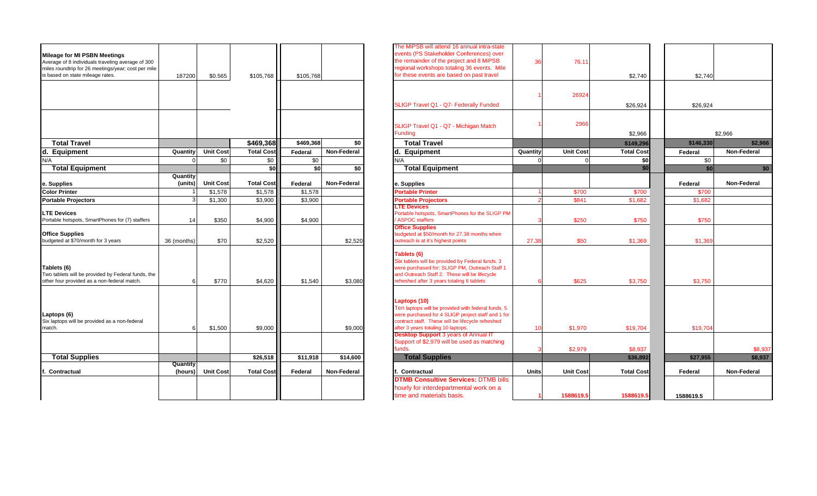| <b>Mileage for MI PSBN Meetings</b><br>Average of 8 individuals traveling average of 300<br>miles roundtrip for 26 meetings/year; cost per mile |                     |                  |                   |           |             | The MiPSB will attend 16 annual intra-state<br>events (PS Stakeholder Conferences) over<br>the remainder of the project and 8 MiPSB<br>regional workshops totaling 36 events. Mile                                                                                 | 36       | 76.11                         |                                |                      |
|-------------------------------------------------------------------------------------------------------------------------------------------------|---------------------|------------------|-------------------|-----------|-------------|--------------------------------------------------------------------------------------------------------------------------------------------------------------------------------------------------------------------------------------------------------------------|----------|-------------------------------|--------------------------------|----------------------|
| is based on state mileage rates.                                                                                                                | 187200              | \$0.565          | \$105,768         | \$105,768 |             | for these events are based on past travel                                                                                                                                                                                                                          |          |                               | \$2,740                        | \$2,74               |
|                                                                                                                                                 |                     |                  |                   |           |             |                                                                                                                                                                                                                                                                    |          | 26924                         |                                |                      |
|                                                                                                                                                 |                     |                  |                   |           |             | SLIGP Travel Q1 - Q7- Federally Funded                                                                                                                                                                                                                             |          |                               | \$26,924                       | \$26,92              |
|                                                                                                                                                 |                     |                  |                   |           |             | SLIGP Travel Q1 - Q7 - Michigan Match<br><b>Funding</b>                                                                                                                                                                                                            |          | 2966                          | \$2,966                        |                      |
| <b>Total Travel</b>                                                                                                                             |                     |                  | \$469,368         | \$469.368 | \$0         | <b>Total Travel</b>                                                                                                                                                                                                                                                |          |                               | \$149,296                      | \$146,33             |
| d. Equipment                                                                                                                                    | Quantity            | <b>Unit Cost</b> | <b>Total Cost</b> | Federal   | Non-Federal | d. Equipment                                                                                                                                                                                                                                                       | Quantity | <b>Unit Cost</b>              | <b>Total Cost</b>              | Federal              |
| N/A                                                                                                                                             |                     | \$0              | \$0               | \$0       |             | N/A                                                                                                                                                                                                                                                                |          |                               | \$0                            | \$0                  |
| <b>Total Equipment</b>                                                                                                                          |                     |                  | \$0               | \$0       | \$0         | <b>Total Equipment</b>                                                                                                                                                                                                                                             |          |                               | \$0                            | $\mathbf{s}$         |
| e. Supplies                                                                                                                                     | Quantity<br>(units) | <b>Unit Cost</b> | <b>Total Cost</b> | Federal   | Non-Federal | e. Supplies                                                                                                                                                                                                                                                        |          |                               |                                | Federal              |
| <b>Color Printer</b>                                                                                                                            |                     | \$1,578          | \$1,578           | \$1,578   |             | <b>Portable Printer</b>                                                                                                                                                                                                                                            |          | \$700                         | \$700                          | \$700                |
| <b>Portable Projectors</b>                                                                                                                      |                     | \$1,300          | \$3,900           | \$3,900   |             | <b>Portable Projectors</b>                                                                                                                                                                                                                                         |          | \$841                         | \$1.682                        | \$1,682              |
| <b>LTE Devices</b><br>Portable hotspots, SmartPhones for (7) staffers                                                                           | 14                  | \$350            | \$4,900           | \$4,900   |             | <b>TE Devices</b><br>Portable hotspots, SmartPhones for the SLIGP PM<br><b>ASPOC</b> staffers                                                                                                                                                                      |          | \$250                         | \$750                          | \$750                |
| <b>Office Supplies</b><br>budgeted at \$70/month for 3 years                                                                                    | 36 (months)         | \$70             | \$2,520           |           | \$2,520     | <b>Office Supplies</b><br>budgeted at \$50/month for 27.38 months when<br>outreach is at it's highest points                                                                                                                                                       | 27.38    | \$50                          | \$1,369                        | \$1,36               |
| Tablets (6)<br>Two tablets will be provided by Federal funds, the<br>other four provided as a non-federal match.                                | 6                   | \$770            | \$4,620           | \$1,540   | \$3,080     | Tablets (6)<br>Six tablets will be provided by Federal funds. 3<br>were purchased for: SLIGP PM, Outreach Staff 1<br>and Outreach Staff 2. These will be lifecycle<br>refreshed after 3 years totaling 6 tablets                                                   |          | \$625                         | \$3,750                        | \$3,750              |
| Laptops (6)<br>Six laptops will be provided as a non-federal<br>match.                                                                          | 6                   | \$1,500          | \$9,000           |           | \$9,000     | Laptops (10)<br>Ten laptops will be provided with federal funds. 5<br>were purchased for 4 SLIGP project staff and 1 for<br>contract staff. These will be lifecycle refreshed<br>after 3 years totaling 10 laptops.<br><b>Desktop Support 3 years of Annual IT</b> | 10       | \$1,970                       | \$19,704                       | \$19,70              |
|                                                                                                                                                 |                     |                  |                   |           |             | Support of \$2,979 will be used as matching<br>funds.                                                                                                                                                                                                              |          | \$2.979                       | \$8.937                        |                      |
| <b>Total Supplies</b>                                                                                                                           |                     |                  | \$26,518          | \$11,918  | \$14,600    | <b>Total Supplies</b>                                                                                                                                                                                                                                              |          |                               | \$36,892                       | \$27,955             |
|                                                                                                                                                 | Quantity            |                  |                   |           |             |                                                                                                                                                                                                                                                                    |          |                               |                                |                      |
| Contractual                                                                                                                                     | (hours)             | <b>Unit Cost</b> | <b>Total Cost</b> | Federal   | Non-Federal | Contractual<br><b>DTMB Consultive Services: DTMB bills</b><br>hourly for interdepartmental work on a<br>time and materials basis.                                                                                                                                  | Units    | <b>Unit Cost</b><br>1588619.5 | <b>Total Cost</b><br>1588619.5 | Federal<br>1588619.5 |

| Mileage for MI PSBN Meetings<br>Average of 8 individuals traveling average of 300<br>miles roundtrip for 26 meetings/year; cost per mile<br>is based on state mileage rates. | 187200              | \$0.565          | \$105,768         | \$105,768 |             | The MiPSB will attend 16 annual intra-state<br>events (PS Stakeholder Conferences) over<br>the remainder of the project and 8 MiPSB<br>regional workshops totaling 36 events. Mile<br>for these events are based on past travel                                    | 36         | 76.11            | \$2,740             | \$2,740   |                    |
|------------------------------------------------------------------------------------------------------------------------------------------------------------------------------|---------------------|------------------|-------------------|-----------|-------------|--------------------------------------------------------------------------------------------------------------------------------------------------------------------------------------------------------------------------------------------------------------------|------------|------------------|---------------------|-----------|--------------------|
|                                                                                                                                                                              |                     |                  |                   |           |             | SLIGP Travel Q1 - Q7- Federally Funded                                                                                                                                                                                                                             |            | 26924            | \$26,924            | \$26,924  |                    |
|                                                                                                                                                                              |                     |                  |                   |           |             | SLIGP Travel Q1 - Q7 - Michigan Match<br><b>Funding</b>                                                                                                                                                                                                            |            | 2966             | \$2,966             |           | \$2,966            |
| <b>Total Travel</b>                                                                                                                                                          |                     |                  | \$469,368         | \$469.368 | \$0         | <b>Total Travel</b>                                                                                                                                                                                                                                                |            |                  | \$149,296           | \$146,330 | \$2,966            |
| d. Equipment                                                                                                                                                                 | Quantity            | <b>Unit Cost</b> | <b>Total Cost</b> | Federal   | Non-Federal | Equipment                                                                                                                                                                                                                                                          | Quantity   | <b>Unit Cost</b> | <b>Total Cost</b>   | Federal   | Non-Federal        |
| N/A                                                                                                                                                                          |                     | \$0              | \$0               | \$0       |             | N/A                                                                                                                                                                                                                                                                | $\sqrt{ }$ |                  | \$0                 | \$0       |                    |
| <b>Total Equipment</b>                                                                                                                                                       |                     |                  | \$0               | \$0       | \$0         | <b>Total Equipment</b>                                                                                                                                                                                                                                             |            |                  | \$0                 | \$0       | \$0                |
| e. Supplies                                                                                                                                                                  | Quantity<br>(units) | <b>Unit Cost</b> | <b>Total Cost</b> | Federal   | Non-Federal | e. Supplies                                                                                                                                                                                                                                                        |            |                  |                     | Federal   | Non-Federal        |
| <b>Color Printer</b>                                                                                                                                                         |                     | \$1,578          | \$1,578           | \$1,578   |             | <b>Portable Printer</b>                                                                                                                                                                                                                                            |            | \$700            | \$700               | \$700     |                    |
| <b>Portable Projectors</b>                                                                                                                                                   |                     | \$1,300          | \$3,900           | \$3,900   |             | Portable Projectors                                                                                                                                                                                                                                                |            | \$841            | \$1.682             | \$1.682   |                    |
| <b>LTE Devices</b><br>Portable hotspots, SmartPhones for (7) staffers                                                                                                        | 14                  | \$350            | \$4,900           | \$4,900   |             | <b>LTE Devices</b><br>Portable hotspots, SmartPhones for the SLIGP PM<br><b>ASPOC</b> staffers                                                                                                                                                                     |            | \$250            | \$750               | \$750     |                    |
| <b>Office Supplies</b><br>budgeted at \$70/month for 3 years                                                                                                                 | 36 (months)         | \$70             | \$2,520           |           | \$2,520     | <b>Office Supplies</b><br>budgeted at \$50/month for 27.38 months when<br>outreach is at it's highest points                                                                                                                                                       | 27.38      | \$50             | \$1,369             | \$1,369   |                    |
| Tablets (6)<br>Two tablets will be provided by Federal funds, the<br>other four provided as a non-federal match.                                                             |                     | \$770            | \$4,620           | \$1,540   | \$3,080     | Tablets (6)<br>Six tablets will be provided by Federal funds. 3<br>were purchased for: SLIGP PM, Outreach Staff 1<br>and Outreach Staff 2. These will be lifecycle<br>refreshed after 3 years totaling 6 tablets                                                   |            | \$625            | \$3,750             | \$3,750   |                    |
| Laptops (6)<br>Six laptops will be provided as a non-federal<br>match.                                                                                                       |                     | \$1,500          | \$9,000           |           | \$9,000     | Laptops (10)<br>Ten laptops will be provided with federal funds. 5<br>were purchased for 4 SLIGP project staff and 1 for<br>contract staff. These will be lifecycle refreshed<br>after 3 years totaling 10 laptops.<br><b>Desktop Support 3 years of Annual IT</b> | 10         | \$1,970          | \$19,704            | \$19,704  |                    |
| <b>Total Supplies</b>                                                                                                                                                        |                     |                  | \$26,518          | \$11,918  | \$14,600    | Support of \$2,979 will be used as matching<br>funds.<br><b>Total Supplies</b>                                                                                                                                                                                     |            | \$2.979          | \$8.937<br>\$36,892 | \$27,955  | \$8,937<br>\$8,937 |
|                                                                                                                                                                              | Quantity            |                  |                   |           |             |                                                                                                                                                                                                                                                                    |            |                  |                     |           |                    |
| Contractual                                                                                                                                                                  | (hours)             | <b>Unit Cost</b> | <b>Total Cost</b> | Federal   | Non-Federal | Contractual<br><b>DTMB Consultive Services: DTMB bills</b>                                                                                                                                                                                                         | Units      | <b>Unit Cost</b> | <b>Total Cost</b>   | Federal   | Non-Federal        |
|                                                                                                                                                                              |                     |                  |                   |           |             | hourly for interdepartmental work on a<br>time and materials basis.                                                                                                                                                                                                |            | 1588619.5        | 1588619.5           | 1588619.5 |                    |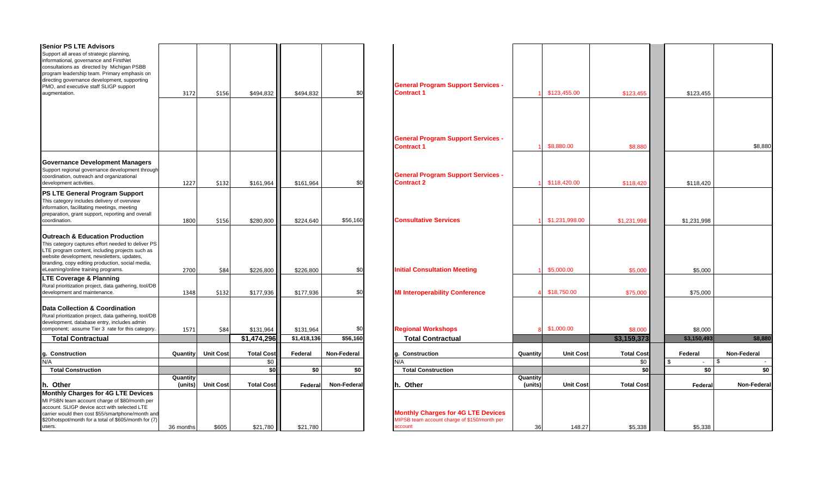| <b>Senior PS LTE Advisors</b><br>Support all areas of strategic planning,                                  |           |                  |                   |             |             |                                              |          |                  |                   |              |              |
|------------------------------------------------------------------------------------------------------------|-----------|------------------|-------------------|-------------|-------------|----------------------------------------------|----------|------------------|-------------------|--------------|--------------|
| informational, governance and FirstNet                                                                     |           |                  |                   |             |             |                                              |          |                  |                   |              |              |
| consultations as directed by Michigan PSBB<br>program leadership team. Primary emphasis on                 |           |                  |                   |             |             |                                              |          |                  |                   |              |              |
| directing governance development, supporting                                                               |           |                  |                   |             |             |                                              |          |                  |                   |              |              |
| PMO, and executive staff SLIGP support                                                                     |           |                  |                   |             |             | <b>General Program Support Services -</b>    |          |                  |                   |              |              |
| augmentation.                                                                                              | 3172      | \$156            | \$494,832         | \$494,832   | \$0         | <b>Contract 1</b>                            |          | \$123,455.00     | \$123,455         | \$123,455    |              |
|                                                                                                            |           |                  |                   |             |             |                                              |          |                  |                   |              |              |
|                                                                                                            |           |                  |                   |             |             |                                              |          |                  |                   |              |              |
|                                                                                                            |           |                  |                   |             |             |                                              |          |                  |                   |              |              |
|                                                                                                            |           |                  |                   |             |             | <b>General Program Support Services -</b>    |          |                  |                   |              |              |
|                                                                                                            |           |                  |                   |             |             | <b>Contract 1</b>                            |          | \$8,880.00       | \$8,880           |              | \$8,880      |
| Governance Development Managers                                                                            |           |                  |                   |             |             |                                              |          |                  |                   |              |              |
| Support regional governance development through                                                            |           |                  |                   |             |             | <b>General Program Support Services -</b>    |          |                  |                   |              |              |
| coordination, outreach and organizational<br>development activities.                                       | 1227      |                  |                   |             | \$0         | Contract 2                                   |          | \$118,420.00     |                   | \$118,420    |              |
| <b>PS LTE General Program Support</b>                                                                      |           | \$132            | \$161,964         | \$161,964   |             |                                              |          |                  | \$118,420         |              |              |
| This category includes delivery of overview                                                                |           |                  |                   |             |             |                                              |          |                  |                   |              |              |
| information, facilitating meetings, meeting                                                                |           |                  |                   |             |             |                                              |          |                  |                   |              |              |
| preparation, grant support, reporting and overall                                                          |           |                  |                   |             |             |                                              |          |                  |                   |              |              |
| coordination.                                                                                              | 1800      | \$156            | \$280,800         | \$224,640   | \$56,160    | <b>Consultative Services</b>                 |          | \$1,231,998.00   | \$1,231,998       | \$1,231,998  |              |
| <b>Outreach &amp; Education Production</b>                                                                 |           |                  |                   |             |             |                                              |          |                  |                   |              |              |
| This category captures effort needed to deliver PS                                                         |           |                  |                   |             |             |                                              |          |                  |                   |              |              |
| LTE program content, including projects such as                                                            |           |                  |                   |             |             |                                              |          |                  |                   |              |              |
| website development, newsletters, updates,                                                                 |           |                  |                   |             |             |                                              |          |                  |                   |              |              |
| branding, copy editing production, social media,<br>eLearning/online training programs.                    | 2700      | \$84             | \$226,800         | \$226,800   | \$0         | <b>Initial Consultation Meeting</b>          |          | \$5,000.00       | \$5,000           | \$5,000      |              |
| <b>LTE Coverage &amp; Planning</b>                                                                         |           |                  |                   |             |             |                                              |          |                  |                   |              |              |
| Rural prioritization project, data gathering, tool/DB                                                      |           |                  |                   |             |             |                                              |          |                  |                   |              |              |
| development and maintenance.                                                                               | 1348      | \$132            | \$177,936         | \$177,936   | \$0         | <b>MI Interoperability Conference</b>        |          | \$18,750.00      | \$75,000          | \$75,000     |              |
| Data Collection & Coordination                                                                             |           |                  |                   |             |             |                                              |          |                  |                   |              |              |
| Rural prioritization project, data gathering, tool/DB                                                      |           |                  |                   |             |             |                                              |          |                  |                   |              |              |
| development, database entry, includes admin                                                                |           |                  |                   |             |             |                                              |          |                  |                   |              |              |
| component; assume Tier 3 rate for this category.                                                           | 1571      | \$84             | \$131,964         | \$131,964   | \$0         | <b>Regional Workshops</b>                    |          | \$1,000.00       | \$8,000           | \$8,000      |              |
| <b>Total Contractual</b>                                                                                   |           |                  | \$1,474,296       | \$1,418,136 | \$56,160    | <b>Total Contractual</b>                     |          |                  | \$3,159,373       | \$3,150,493  | \$8,880      |
| Construction                                                                                               | Quantity  | <b>Unit Cost</b> | <b>Total Cost</b> | Federal     | Non-Federal | g. Construction                              | Quantity | <b>Unit Cost</b> | <b>Total Cost</b> | Federal      | Non-Federal  |
| N/A                                                                                                        |           |                  | \$0               |             |             | N/A                                          |          |                  | \$0               | -S<br>$\sim$ | \$<br>$\sim$ |
| <b>Total Construction</b>                                                                                  | Quantity  |                  | \$0               | \$0         | \$0         | <b>Total Construction</b>                    | Quantity |                  | \$0               | \$0          | \$0          |
| h. Other                                                                                                   | (units)   | <b>Unit Cost</b> | <b>Total Cost</b> | Federal     | Non-Federal | h. Other                                     | (units)  | <b>Unit Cost</b> | <b>Total Cost</b> | Federa       | Non-Federa   |
| <b>Monthly Charges for 4G LTE Devices</b>                                                                  |           |                  |                   |             |             |                                              |          |                  |                   |              |              |
| MI PSBN team account charge of \$80/month per                                                              |           |                  |                   |             |             |                                              |          |                  |                   |              |              |
| account. SLIGP device acct with selected LTE                                                               |           |                  |                   |             |             | <b>Monthly Charges for 4G LTE Devices</b>    |          |                  |                   |              |              |
| carrier would then cost \$55/smartphone/month and<br>\$20/hotspot/month for a total of \$605/month for (7) |           |                  |                   |             |             | MIPSB team account charge of \$150/month per |          |                  |                   |              |              |
| users.                                                                                                     | 36 months | \$605            | \$21,780          | \$21,780    |             | account                                      | 36       | 148.27           | \$5,338           | \$5,338      |              |
|                                                                                                            |           |                  |                   |             |             |                                              |          |                  |                   |              |              |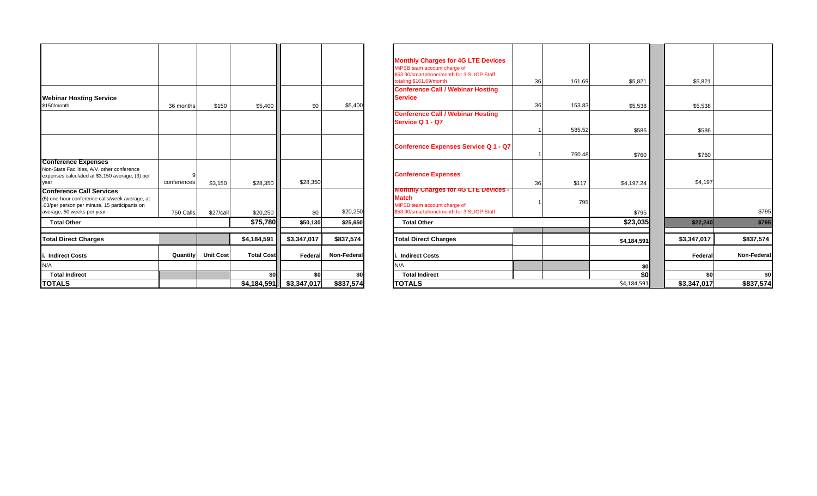|                                                                                                                                                                  |             |                  |                   |             |             | <b>Monthly Charges for 4G LTE Devices</b><br>MiPSB team account charge of<br>\$53.90/smartphone/month for 3 SLIGP Staff<br>totaling \$161.69/month<br>161.69<br>36 | \$5,821     |
|------------------------------------------------------------------------------------------------------------------------------------------------------------------|-------------|------------------|-------------------|-------------|-------------|--------------------------------------------------------------------------------------------------------------------------------------------------------------------|-------------|
| <b>Webinar Hosting Service</b><br>\$150/month                                                                                                                    | 36 months   | \$150            | \$5,400           | \$0         | \$5,400     | <b>Conference Call / Webinar Hosting</b><br><b>Service</b><br>153.83<br>36                                                                                         | \$5,538     |
|                                                                                                                                                                  |             |                  |                   |             |             | <b>Conference Call / Webinar Hosting</b><br>Service Q 1 - Q7<br>585.52                                                                                             | \$586       |
|                                                                                                                                                                  |             |                  |                   |             |             | <b>Conference Expenses Service Q 1 - Q7</b><br>760.48                                                                                                              | \$760       |
| <b>Conference Expenses</b><br>Non-State Facilities, A/V, other conference<br>expenses calculated at \$3,150 average, (3) per<br>year                             | conferences | \$3,150          | \$28,350          | \$28,350    |             | <b>Conference Expenses</b><br>\$117<br>36                                                                                                                          | \$4,197.24  |
| <b>Conference Call Services</b><br>(5) one-hour conference calls/week average, at<br>.03/per person per minute, 15 participants on<br>average, 50 weeks per year | 750 Calls   | \$27/call        | \$20,250          | \$0         | \$20,250    | <b>Monthly Charges for 4G LTE Devices -</b><br><b>Match</b><br>795<br>MiPSB team account charge of<br>\$53.90/smartphone/month for 3 SLIGP Staff                   | \$795       |
| <b>Total Other</b>                                                                                                                                               |             |                  | \$75,780          | \$50,130    | \$25,650    | <b>Total Other</b>                                                                                                                                                 | \$23,035    |
| <b>Total Direct Charges</b>                                                                                                                                      |             |                  | \$4,184,591       | \$3,347,017 | \$837,574   | <b>Total Direct Charges</b>                                                                                                                                        | \$4,184,591 |
| i. Indirect Costs                                                                                                                                                | Quantity    | <b>Unit Cost</b> | <b>Total Cost</b> | Federal     | Non-Federal | <b>Indirect Costs</b>                                                                                                                                              |             |
| N/A                                                                                                                                                              |             |                  |                   |             |             | N/A                                                                                                                                                                | \$0         |
| <b>Total Indirect</b>                                                                                                                                            |             |                  | \$0               | \$0         | \$0         | <b>Total Indirect</b>                                                                                                                                              | \$0         |
| <b>TOTALS</b>                                                                                                                                                    |             |                  | \$4,184,591       | \$3,347,017 | \$837,574   | <b>TOTALS</b>                                                                                                                                                      | \$4,184,591 |

|             |                  |                                |                |                                        | <b>Monthly Charges for 4G LTE Devices</b><br>MiPSB team account charge of<br>\$53.90/smartphone/month for 3 SLIGP Staff<br>totaling \$161.69/month<br><b>Conference Call / Webinar Hosting</b><br><b>Service</b> | 161.69                | \$5,821                            | \$5,821                 |                                        |
|-------------|------------------|--------------------------------|----------------|----------------------------------------|------------------------------------------------------------------------------------------------------------------------------------------------------------------------------------------------------------------|-----------------------|------------------------------------|-------------------------|----------------------------------------|
|             |                  |                                |                |                                        | <b>Conference Call / Webinar Hosting</b><br>Service Q 1 - Q7                                                                                                                                                     |                       |                                    |                         |                                        |
|             |                  |                                |                |                                        | <b>Conference Expenses Service Q 1 - Q7</b>                                                                                                                                                                      | 760.48                | \$760                              | \$760                   |                                        |
| conferences | \$3,150          | \$28,350                       | \$28,350       |                                        | <b>Conference Expenses</b>                                                                                                                                                                                       | \$117                 | \$4,197.24                         | \$4,197                 |                                        |
| 750 Calls   | \$27/call        | \$20,250                       | \$0            | \$20,250                               | <b>Monthly Charges for 4G LTE Devices -</b><br><b>Match</b><br>MiPSB team account charge of<br>\$53.90/smartphone/month for 3 SLIGP Staff                                                                        | 795                   | \$795                              |                         | \$795                                  |
|             |                  | \$75,780                       | \$50,130       | \$25,650                               | <b>Total Other</b>                                                                                                                                                                                               |                       | \$23,035                           | \$22,240                | \$795                                  |
|             |                  | \$4,184,591                    | \$3,347,017    | \$837,574                              | <b>Total Direct Charges</b>                                                                                                                                                                                      |                       | \$4,184,591                        | \$3,347,017             | \$837,574                              |
|             | <b>Unit Cost</b> | <b>Total Cost</b>              | Federal        | Non-Federal                            | <b>Indirect Costs</b>                                                                                                                                                                                            |                       |                                    | Federal                 | Non-Federal                            |
|             |                  |                                |                |                                        | N/A                                                                                                                                                                                                              |                       | \$0                                |                         | \$0                                    |
|             |                  |                                |                | \$837,574                              | <b>TOTALS</b>                                                                                                                                                                                                    |                       | \$4,184,591                        |                         | \$837,574                              |
|             |                  | \$150<br>36 months<br>Quantity | \$5,400<br>\$0 | \$0<br>\$0<br>$$4,184,591$ \$3,347,017 | \$5,400<br>\$0                                                                                                                                                                                                   | <b>Total Indirect</b> | 36<br>36<br>153.83<br>585.52<br>36 | \$5,538<br>\$586<br>\$0 | \$5,538<br>\$586<br>\$0<br>\$3,347,017 |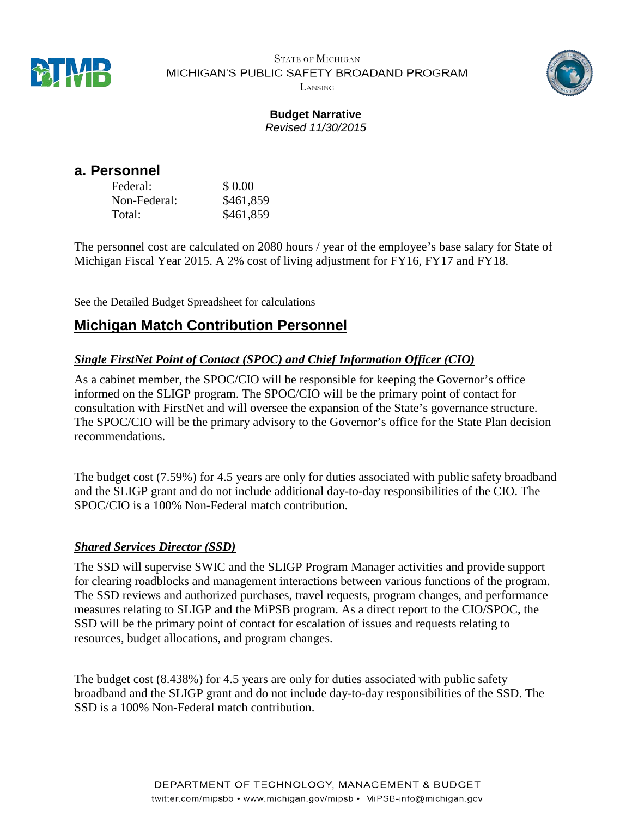

**STATE OF MICHIGAN** MICHIGAN'S PUBLIC SAFETY BROADAND PROGRAM LANSING



#### **Budget Narrative** *Revised 11/30/2015*

| a. Personnel |           |
|--------------|-----------|
| Federal:     | \$ 0.00   |
| Non-Federal: | \$461,859 |
| Total:       | \$461,859 |

The personnel cost are calculated on 2080 hours / year of the employee's base salary for State of Michigan Fiscal Year 2015. A 2% cost of living adjustment for FY16, FY17 and FY18.

See the Detailed Budget Spreadsheet for calculations

# **Michigan Match Contribution Personnel**

#### *Single FirstNet Point of Contact (SPOC) and Chief Information Officer (CIO)*

As a cabinet member, the SPOC/CIO will be responsible for keeping the Governor's office informed on the SLIGP program. The SPOC/CIO will be the primary point of contact for consultation with FirstNet and will oversee the expansion of the State's governance structure. The SPOC/CIO will be the primary advisory to the Governor's office for the State Plan decision recommendations.

The budget cost (7.59%) for 4.5 years are only for duties associated with public safety broadband and the SLIGP grant and do not include additional day-to-day responsibilities of the CIO. The SPOC/CIO is a 100% Non-Federal match contribution.

#### *Shared Services Director (SSD)*

The SSD will supervise SWIC and the SLIGP Program Manager activities and provide support for clearing roadblocks and management interactions between various functions of the program. The SSD reviews and authorized purchases, travel requests, program changes, and performance measures relating to SLIGP and the MiPSB program. As a direct report to the CIO/SPOC, the SSD will be the primary point of contact for escalation of issues and requests relating to resources, budget allocations, and program changes.

The budget cost (8.438%) for 4.5 years are only for duties associated with public safety broadband and the SLIGP grant and do not include day-to-day responsibilities of the SSD. The SSD is a 100% Non-Federal match contribution.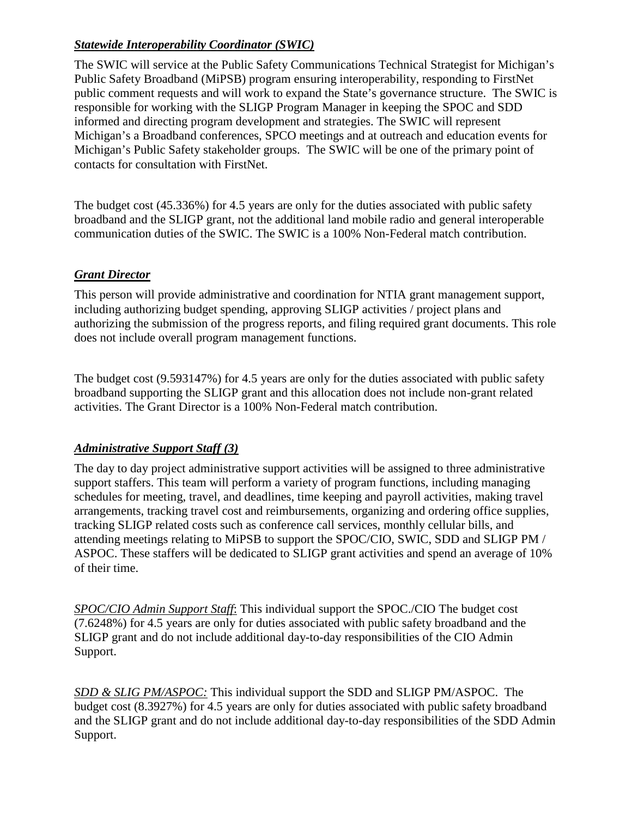#### *Statewide Interoperability Coordinator (SWIC)*

The SWIC will service at the Public Safety Communications Technical Strategist for Michigan's Public Safety Broadband (MiPSB) program ensuring interoperability, responding to FirstNet public comment requests and will work to expand the State's governance structure. The SWIC is responsible for working with the SLIGP Program Manager in keeping the SPOC and SDD informed and directing program development and strategies. The SWIC will represent Michigan's a Broadband conferences, SPCO meetings and at outreach and education events for Michigan's Public Safety stakeholder groups. The SWIC will be one of the primary point of contacts for consultation with FirstNet.

The budget cost (45.336%) for 4.5 years are only for the duties associated with public safety broadband and the SLIGP grant, not the additional land mobile radio and general interoperable communication duties of the SWIC. The SWIC is a 100% Non-Federal match contribution.

#### *Grant Director*

This person will provide administrative and coordination for NTIA grant management support, including authorizing budget spending, approving SLIGP activities / project plans and authorizing the submission of the progress reports, and filing required grant documents. This role does not include overall program management functions.

The budget cost (9.593147%) for 4.5 years are only for the duties associated with public safety broadband supporting the SLIGP grant and this allocation does not include non-grant related activities. The Grant Director is a 100% Non-Federal match contribution.

#### *Administrative Support Staff (3)*

The day to day project administrative support activities will be assigned to three administrative support staffers. This team will perform a variety of program functions, including managing schedules for meeting, travel, and deadlines, time keeping and payroll activities, making travel arrangements, tracking travel cost and reimbursements, organizing and ordering office supplies, tracking SLIGP related costs such as conference call services, monthly cellular bills, and attending meetings relating to MiPSB to support the SPOC/CIO, SWIC, SDD and SLIGP PM / ASPOC. These staffers will be dedicated to SLIGP grant activities and spend an average of 10% of their time.

*SPOC/CIO Admin Support Staff*: This individual support the SPOC./CIO The budget cost (7.6248%) for 4.5 years are only for duties associated with public safety broadband and the SLIGP grant and do not include additional day-to-day responsibilities of the CIO Admin Support.

*SDD & SLIG PM/ASPOC:* This individual support the SDD and SLIGP PM/ASPOC. The budget cost (8.3927%) for 4.5 years are only for duties associated with public safety broadband and the SLIGP grant and do not include additional day-to-day responsibilities of the SDD Admin Support.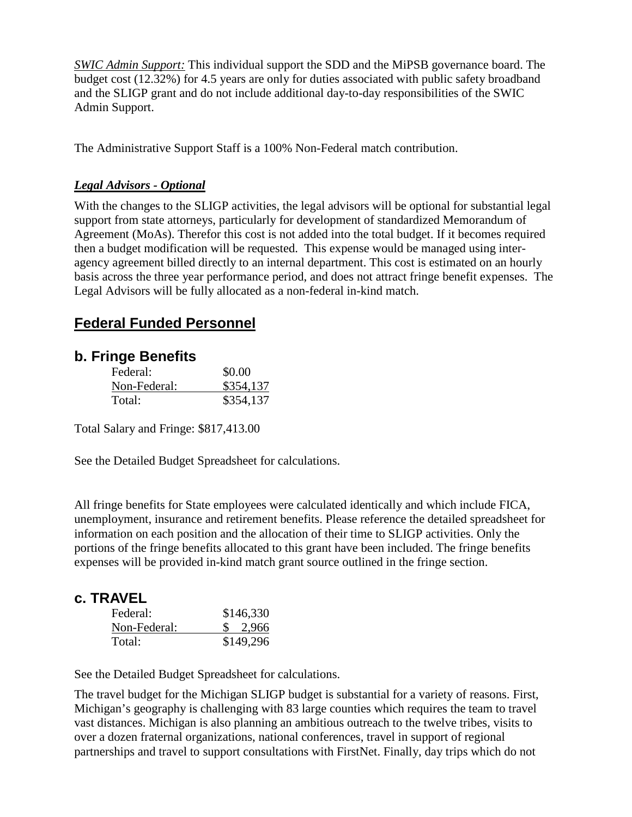*SWIC Admin Support:* This individual support the SDD and the MiPSB governance board. The budget cost (12.32%) for 4.5 years are only for duties associated with public safety broadband and the SLIGP grant and do not include additional day-to-day responsibilities of the SWIC Admin Support.

The Administrative Support Staff is a 100% Non-Federal match contribution.

#### *Legal Advisors - Optional*

With the changes to the SLIGP activities, the legal advisors will be optional for substantial legal support from state attorneys, particularly for development of standardized Memorandum of Agreement (MoAs). Therefor this cost is not added into the total budget. If it becomes required then a budget modification will be requested. This expense would be managed using interagency agreement billed directly to an internal department. This cost is estimated on an hourly basis across the three year performance period, and does not attract fringe benefit expenses. The Legal Advisors will be fully allocated as a non-federal in-kind match.

# **Federal Funded Personnel**

## **b. Fringe Benefits**

| Federal:     | \$0.00    |
|--------------|-----------|
| Non-Federal: | \$354,137 |
| Total:       | \$354,137 |

Total Salary and Fringe: \$817,413.00

See the Detailed Budget Spreadsheet for calculations.

All fringe benefits for State employees were calculated identically and which include FICA, unemployment, insurance and retirement benefits. Please reference the detailed spreadsheet for information on each position and the allocation of their time to SLIGP activities. Only the portions of the fringe benefits allocated to this grant have been included. The fringe benefits expenses will be provided in-kind match grant source outlined in the fringe section.

# **c. TRAVEL**

| Federal:     | \$146,330 |
|--------------|-----------|
| Non-Federal: | \$2,966   |
| Total:       | \$149,296 |

See the Detailed Budget Spreadsheet for calculations.

The travel budget for the Michigan SLIGP budget is substantial for a variety of reasons. First, Michigan's geography is challenging with 83 large counties which requires the team to travel vast distances. Michigan is also planning an ambitious outreach to the twelve tribes, visits to over a dozen fraternal organizations, national conferences, travel in support of regional partnerships and travel to support consultations with FirstNet. Finally, day trips which do not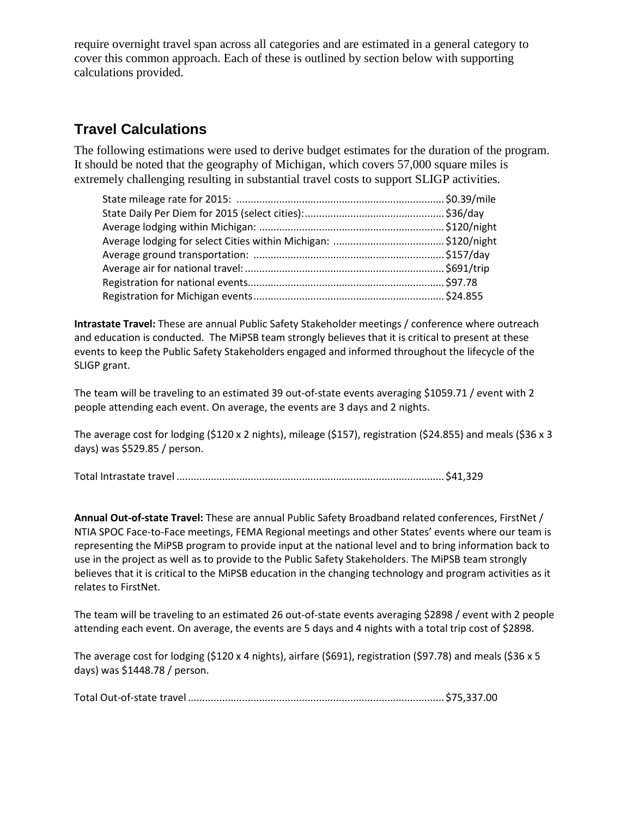require overnight travel span across all categories and are estimated in a general category to cover this common approach. Each of these is outlined by section below with supporting calculations provided.

# **Travel Calculations**

The following estimations were used to derive budget estimates for the duration of the program. It should be noted that the geography of Michigan, which covers 57,000 square miles is extremely challenging resulting in substantial travel costs to support SLIGP activities.

**Intrastate Travel:** These are annual Public Safety Stakeholder meetings / conference where outreach and education is conducted. The MiPSB team strongly believes that it is critical to present at these events to keep the Public Safety Stakeholders engaged and informed throughout the lifecycle of the SLIGP grant.

The team will be traveling to an estimated 39 out-of-state events averaging \$1059.71 / event with 2 people attending each event. On average, the events are 3 days and 2 nights.

The average cost for lodging (\$120 x 2 nights), mileage (\$157), registration (\$24.855) and meals (\$36 x 3 days) was \$529.85 / person.

|--|--|

**Annual Out-of-state Travel:** These are annual Public Safety Broadband related conferences, FirstNet / NTIA SPOC Face-to-Face meetings, FEMA Regional meetings and other States' events where our team is representing the MiPSB program to provide input at the national level and to bring information back to use in the project as well as to provide to the Public Safety Stakeholders. The MiPSB team strongly believes that it is critical to the MiPSB education in the changing technology and program activities as it relates to FirstNet.

The team will be traveling to an estimated 26 out-of-state events averaging \$2898 / event with 2 people attending each event. On average, the events are 5 days and 4 nights with a total trip cost of \$2898.

The average cost for lodging (\$120 x 4 nights), airfare (\$691), registration (\$97.78) and meals (\$36 x 5 days) was \$1448.78 / person.

Total Out-of-state travel .......................................................................................... \$75,337.00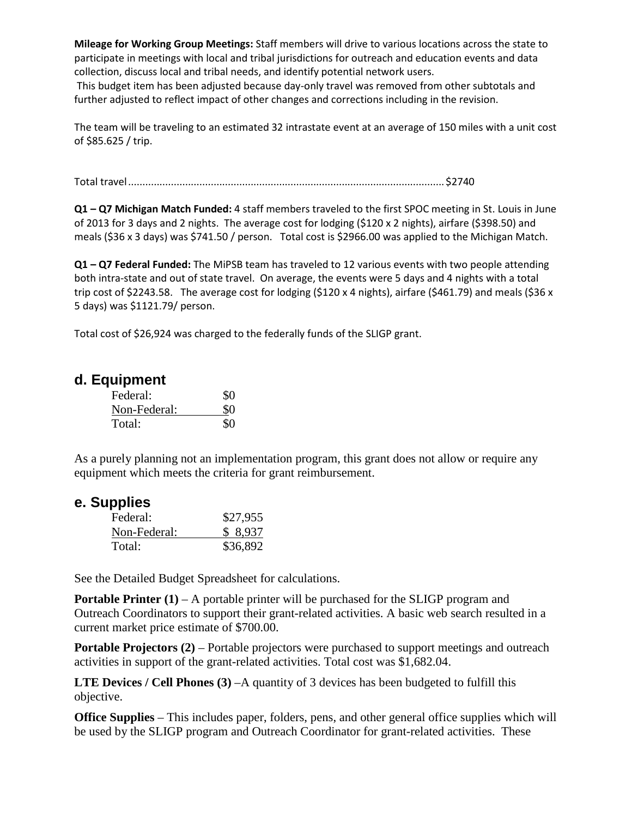**Mileage for Working Group Meetings:** Staff members will drive to various locations across the state to participate in meetings with local and tribal jurisdictions for outreach and education events and data collection, discuss local and tribal needs, and identify potential network users. This budget item has been adjusted because day-only travel was removed from other subtotals and

further adjusted to reflect impact of other changes and corrections including in the revision.

The team will be traveling to an estimated 32 intrastate event at an average of 150 miles with a unit cost of \$85.625 / trip.

Total travel............................................................................................................... \$2740

**Q1 – Q7 Michigan Match Funded:** 4 staff members traveled to the first SPOC meeting in St. Louis in June of 2013 for 3 days and 2 nights. The average cost for lodging (\$120 x 2 nights), airfare (\$398.50) and meals (\$36 x 3 days) was \$741.50 / person. Total cost is \$2966.00 was applied to the Michigan Match.

**Q1 – Q7 Federal Funded:** The MiPSB team has traveled to 12 various events with two people attending both intra-state and out of state travel. On average, the events were 5 days and 4 nights with a total trip cost of \$2243.58. The average cost for lodging (\$120 x 4 nights), airfare (\$461.79) and meals (\$36 x 5 days) was \$1121.79/ person.

Total cost of \$26,924 was charged to the federally funds of the SLIGP grant.

#### **d. Equipment**

| Federal:     | \$0 |
|--------------|-----|
| Non-Federal: | \$0 |
| Total:       | \$0 |

As a purely planning not an implementation program, this grant does not allow or require any equipment which meets the criteria for grant reimbursement.

#### **e. Supplies**

| Federal:     | \$27,955 |
|--------------|----------|
| Non-Federal: | \$8,937  |
| Total:       | \$36,892 |

See the Detailed Budget Spreadsheet for calculations.

**Portable Printer (1)** – A portable printer will be purchased for the SLIGP program and Outreach Coordinators to support their grant-related activities. A basic web search resulted in a current market price estimate of \$700.00.

**Portable Projectors (2)** – Portable projectors were purchased to support meetings and outreach activities in support of the grant-related activities. Total cost was \$1,682.04.

**LTE Devices** / Cell Phones (3) –A quantity of 3 devices has been budgeted to fulfill this objective.

**Office Supplies** – This includes paper, folders, pens, and other general office supplies which will be used by the SLIGP program and Outreach Coordinator for grant-related activities. These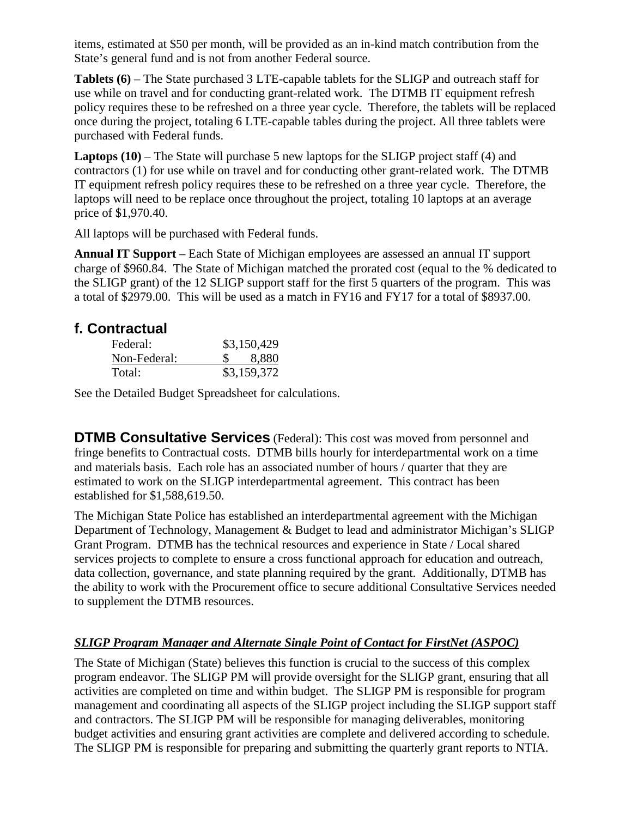items, estimated at \$50 per month, will be provided as an in-kind match contribution from the State's general fund and is not from another Federal source.

**Tablets (6)** – The State purchased 3 LTE-capable tablets for the SLIGP and outreach staff for use while on travel and for conducting grant-related work. The DTMB IT equipment refresh policy requires these to be refreshed on a three year cycle. Therefore, the tablets will be replaced once during the project, totaling 6 LTE-capable tables during the project. All three tablets were purchased with Federal funds.

**Laptops (10)** – The State will purchase 5 new laptops for the SLIGP project staff (4) and contractors (1) for use while on travel and for conducting other grant-related work. The DTMB IT equipment refresh policy requires these to be refreshed on a three year cycle. Therefore, the laptops will need to be replace once throughout the project, totaling 10 laptops at an average price of \$1,970.40.

All laptops will be purchased with Federal funds.

**Annual IT Support** – Each State of Michigan employees are assessed an annual IT support charge of \$960.84. The State of Michigan matched the prorated cost (equal to the % dedicated to the SLIGP grant) of the 12 SLIGP support staff for the first 5 quarters of the program. This was a total of \$2979.00. This will be used as a match in FY16 and FY17 for a total of \$8937.00.

# **f. Contractual**

| Federal:     | \$3,150,429 |  |  |
|--------------|-------------|--|--|
| Non-Federal: | 8,880       |  |  |
| Total:       | \$3,159,372 |  |  |

See the Detailed Budget Spreadsheet for calculations.

**DTMB Consultative Services** (Federal): This cost was moved from personnel and fringe benefits to Contractual costs. DTMB bills hourly for interdepartmental work on a time and materials basis. Each role has an associated number of hours / quarter that they are estimated to work on the SLIGP interdepartmental agreement. This contract has been established for \$1,588,619.50.

The Michigan State Police has established an interdepartmental agreement with the Michigan Department of Technology, Management & Budget to lead and administrator Michigan's SLIGP Grant Program. DTMB has the technical resources and experience in State / Local shared services projects to complete to ensure a cross functional approach for education and outreach, data collection, governance, and state planning required by the grant. Additionally, DTMB has the ability to work with the Procurement office to secure additional Consultative Services needed to supplement the DTMB resources.

## *SLIGP Program Manager and Alternate Single Point of Contact for FirstNet (ASPOC)*

The State of Michigan (State) believes this function is crucial to the success of this complex program endeavor. The SLIGP PM will provide oversight for the SLIGP grant, ensuring that all activities are completed on time and within budget. The SLIGP PM is responsible for program management and coordinating all aspects of the SLIGP project including the SLIGP support staff and contractors. The SLIGP PM will be responsible for managing deliverables, monitoring budget activities and ensuring grant activities are complete and delivered according to schedule. The SLIGP PM is responsible for preparing and submitting the quarterly grant reports to NTIA.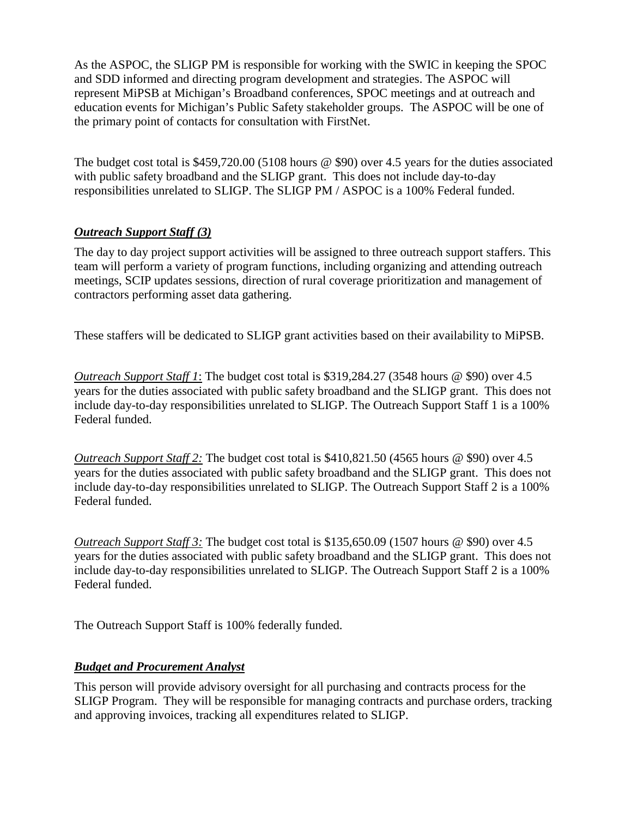As the ASPOC, the SLIGP PM is responsible for working with the SWIC in keeping the SPOC and SDD informed and directing program development and strategies. The ASPOC will represent MiPSB at Michigan's Broadband conferences, SPOC meetings and at outreach and education events for Michigan's Public Safety stakeholder groups. The ASPOC will be one of the primary point of contacts for consultation with FirstNet.

The budget cost total is \$459,720.00 (5108 hours @ \$90) over 4.5 years for the duties associated with public safety broadband and the SLIGP grant. This does not include day-to-day responsibilities unrelated to SLIGP. The SLIGP PM / ASPOC is a 100% Federal funded.

## *Outreach Support Staff (3)*

The day to day project support activities will be assigned to three outreach support staffers. This team will perform a variety of program functions, including organizing and attending outreach meetings, SCIP updates sessions, direction of rural coverage prioritization and management of contractors performing asset data gathering.

These staffers will be dedicated to SLIGP grant activities based on their availability to MiPSB.

*Outreach Support Staff 1*: The budget cost total is \$319,284.27 (3548 hours @ \$90) over 4.5 years for the duties associated with public safety broadband and the SLIGP grant. This does not include day-to-day responsibilities unrelated to SLIGP. The Outreach Support Staff 1 is a 100% Federal funded.

*Outreach Support Staff 2:* The budget cost total is \$410,821.50 (4565 hours @ \$90) over 4.5 years for the duties associated with public safety broadband and the SLIGP grant. This does not include day-to-day responsibilities unrelated to SLIGP. The Outreach Support Staff 2 is a 100% Federal funded.

*Outreach Support Staff 3:* The budget cost total is \$135,650.09 (1507 hours @ \$90) over 4.5 years for the duties associated with public safety broadband and the SLIGP grant. This does not include day-to-day responsibilities unrelated to SLIGP. The Outreach Support Staff 2 is a 100% Federal funded.

The Outreach Support Staff is 100% federally funded.

#### *Budget and Procurement Analyst*

This person will provide advisory oversight for all purchasing and contracts process for the SLIGP Program. They will be responsible for managing contracts and purchase orders, tracking and approving invoices, tracking all expenditures related to SLIGP.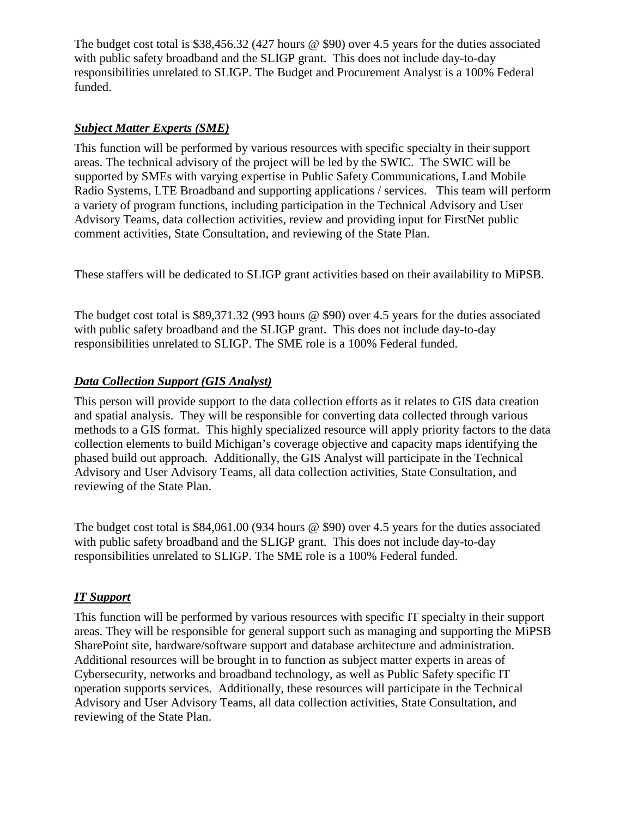The budget cost total is \$38,456.32 (427 hours @ \$90) over 4.5 years for the duties associated with public safety broadband and the SLIGP grant. This does not include day-to-day responsibilities unrelated to SLIGP. The Budget and Procurement Analyst is a 100% Federal funded.

#### *Subject Matter Experts (SME)*

This function will be performed by various resources with specific specialty in their support areas. The technical advisory of the project will be led by the SWIC. The SWIC will be supported by SMEs with varying expertise in Public Safety Communications, Land Mobile Radio Systems, LTE Broadband and supporting applications / services. This team will perform a variety of program functions, including participation in the Technical Advisory and User Advisory Teams, data collection activities, review and providing input for FirstNet public comment activities, State Consultation, and reviewing of the State Plan.

These staffers will be dedicated to SLIGP grant activities based on their availability to MiPSB.

The budget cost total is \$89,371.32 (993 hours @ \$90) over 4.5 years for the duties associated with public safety broadband and the SLIGP grant. This does not include day-to-day responsibilities unrelated to SLIGP. The SME role is a 100% Federal funded.

## *Data Collection Support (GIS Analyst)*

This person will provide support to the data collection efforts as it relates to GIS data creation and spatial analysis. They will be responsible for converting data collected through various methods to a GIS format. This highly specialized resource will apply priority factors to the data collection elements to build Michigan's coverage objective and capacity maps identifying the phased build out approach. Additionally, the GIS Analyst will participate in the Technical Advisory and User Advisory Teams, all data collection activities, State Consultation, and reviewing of the State Plan.

The budget cost total is \$84,061.00 (934 hours @ \$90) over 4.5 years for the duties associated with public safety broadband and the SLIGP grant. This does not include day-to-day responsibilities unrelated to SLIGP. The SME role is a 100% Federal funded.

## *IT Support*

This function will be performed by various resources with specific IT specialty in their support areas. They will be responsible for general support such as managing and supporting the MiPSB SharePoint site, hardware/software support and database architecture and administration. Additional resources will be brought in to function as subject matter experts in areas of Cybersecurity, networks and broadband technology, as well as Public Safety specific IT operation supports services. Additionally, these resources will participate in the Technical Advisory and User Advisory Teams, all data collection activities, State Consultation, and reviewing of the State Plan.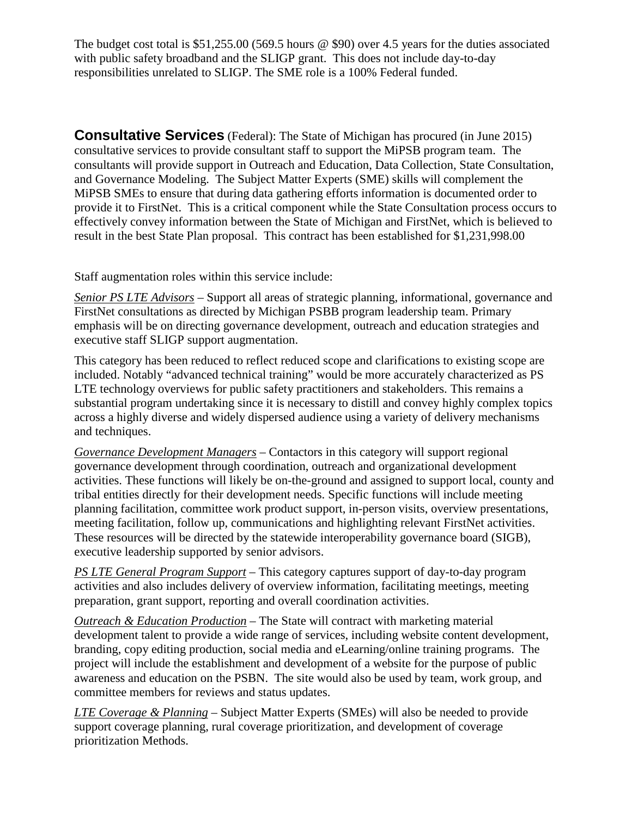The budget cost total is \$51,255.00 (569.5 hours @ \$90) over 4.5 years for the duties associated with public safety broadband and the SLIGP grant. This does not include day-to-day responsibilities unrelated to SLIGP. The SME role is a 100% Federal funded.

**Consultative Services** (Federal): The State of Michigan has procured (in June 2015) consultative services to provide consultant staff to support the MiPSB program team. The consultants will provide support in Outreach and Education, Data Collection, State Consultation, and Governance Modeling. The Subject Matter Experts (SME) skills will complement the MiPSB SMEs to ensure that during data gathering efforts information is documented order to provide it to FirstNet. This is a critical component while the State Consultation process occurs to effectively convey information between the State of Michigan and FirstNet, which is believed to result in the best State Plan proposal. This contract has been established for \$1,231,998.00

Staff augmentation roles within this service include:

*Senior PS LTE Advisors* – Support all areas of strategic planning, informational, governance and FirstNet consultations as directed by Michigan PSBB program leadership team. Primary emphasis will be on directing governance development, outreach and education strategies and executive staff SLIGP support augmentation.

This category has been reduced to reflect reduced scope and clarifications to existing scope are included. Notably "advanced technical training" would be more accurately characterized as PS LTE technology overviews for public safety practitioners and stakeholders. This remains a substantial program undertaking since it is necessary to distill and convey highly complex topics across a highly diverse and widely dispersed audience using a variety of delivery mechanisms and techniques.

*Governance Development Managers* – Contactors in this category will support regional governance development through coordination, outreach and organizational development activities. These functions will likely be on-the-ground and assigned to support local, county and tribal entities directly for their development needs. Specific functions will include meeting planning facilitation, committee work product support, in-person visits, overview presentations, meeting facilitation, follow up, communications and highlighting relevant FirstNet activities. These resources will be directed by the statewide interoperability governance board (SIGB), executive leadership supported by senior advisors.

*PS LTE General Program Support* – This category captures support of day-to-day program activities and also includes delivery of overview information, facilitating meetings, meeting preparation, grant support, reporting and overall coordination activities.

*Outreach & Education Production* – The State will contract with marketing material development talent to provide a wide range of services, including website content development, branding, copy editing production, social media and eLearning/online training programs. The project will include the establishment and development of a website for the purpose of public awareness and education on the PSBN. The site would also be used by team, work group, and committee members for reviews and status updates.

*LTE Coverage & Planning* – Subject Matter Experts (SMEs) will also be needed to provide support coverage planning, rural coverage prioritization, and development of coverage prioritization Methods.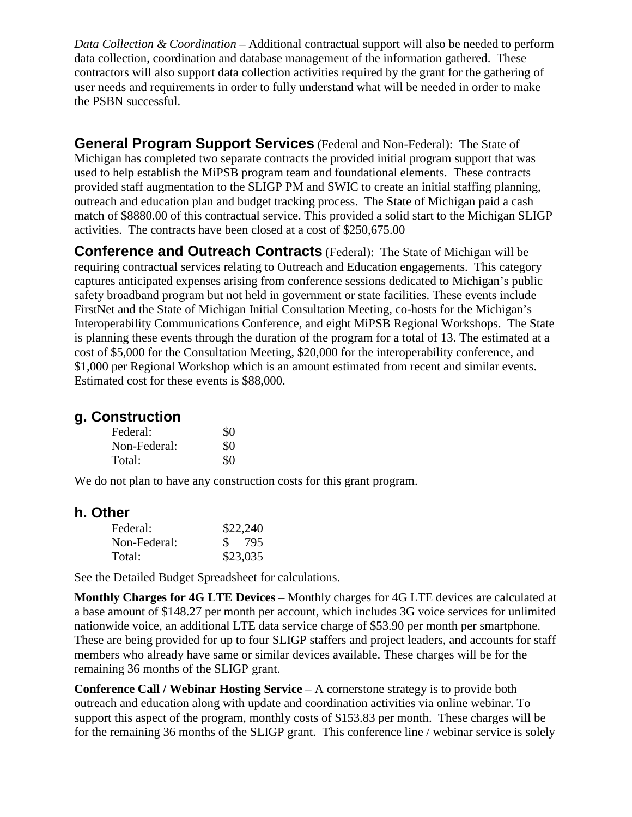*Data Collection & Coordination* – Additional contractual support will also be needed to perform data collection, coordination and database management of the information gathered. These contractors will also support data collection activities required by the grant for the gathering of user needs and requirements in order to fully understand what will be needed in order to make the PSBN successful.

**General Program Support Services** (Federal and Non-Federal): The State of Michigan has completed two separate contracts the provided initial program support that was used to help establish the MiPSB program team and foundational elements. These contracts provided staff augmentation to the SLIGP PM and SWIC to create an initial staffing planning, outreach and education plan and budget tracking process. The State of Michigan paid a cash match of \$8880.00 of this contractual service. This provided a solid start to the Michigan SLIGP activities. The contracts have been closed at a cost of \$250,675.00

**Conference and Outreach Contracts** (Federal): The State of Michigan will be requiring contractual services relating to Outreach and Education engagements. This category captures anticipated expenses arising from conference sessions dedicated to Michigan's public safety broadband program but not held in government or state facilities. These events include FirstNet and the State of Michigan Initial Consultation Meeting, co-hosts for the Michigan's Interoperability Communications Conference, and eight MiPSB Regional Workshops. The State is planning these events through the duration of the program for a total of 13. The estimated at a cost of \$5,000 for the Consultation Meeting, \$20,000 for the interoperability conference, and \$1,000 per Regional Workshop which is an amount estimated from recent and similar events. Estimated cost for these events is \$88,000.

# **g. Construction**

| Federal:     | \$0 |
|--------------|-----|
| Non-Federal: | \$0 |
| Total:       | \$0 |

We do not plan to have any construction costs for this grant program.

## **h. Other**

| Federal:     | \$22,240 |
|--------------|----------|
| Non-Federal: | \$ 795   |
| Total:       | \$23,035 |

See the Detailed Budget Spreadsheet for calculations.

**Monthly Charges for 4G LTE Devices** – Monthly charges for 4G LTE devices are calculated at a base amount of \$148.27 per month per account, which includes 3G voice services for unlimited nationwide voice, an additional LTE data service charge of \$53.90 per month per smartphone. These are being provided for up to four SLIGP staffers and project leaders, and accounts for staff members who already have same or similar devices available. These charges will be for the remaining 36 months of the SLIGP grant.

**Conference Call / Webinar Hosting Service** – A cornerstone strategy is to provide both outreach and education along with update and coordination activities via online webinar. To support this aspect of the program, monthly costs of \$153.83 per month. These charges will be for the remaining 36 months of the SLIGP grant. This conference line / webinar service is solely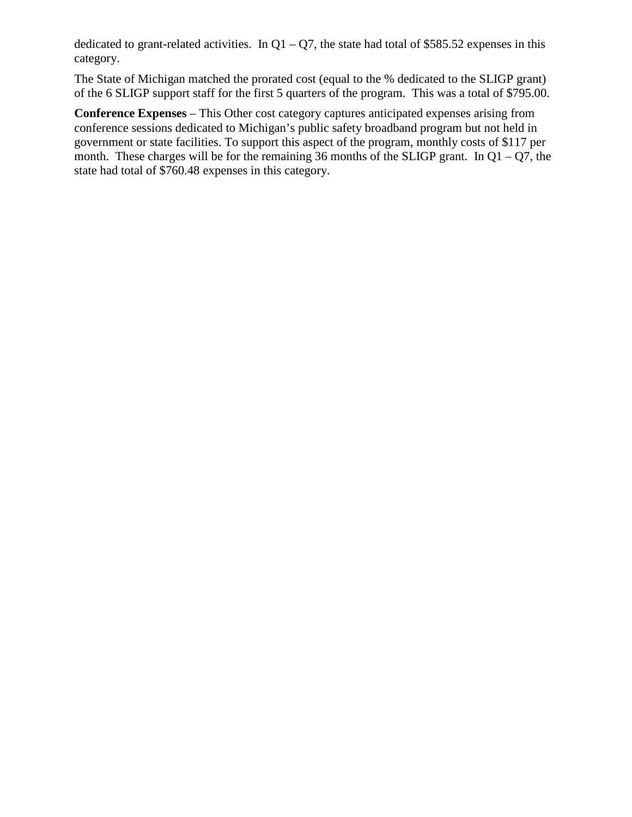dedicated to grant-related activities. In  $Q1 - Q7$ , the state had total of \$585.52 expenses in this category.

The State of Michigan matched the prorated cost (equal to the % dedicated to the SLIGP grant) of the 6 SLIGP support staff for the first 5 quarters of the program. This was a total of \$795.00.

**Conference Expenses** – This Other cost category captures anticipated expenses arising from conference sessions dedicated to Michigan's public safety broadband program but not held in government or state facilities. To support this aspect of the program, monthly costs of \$117 per month. These charges will be for the remaining 36 months of the SLIGP grant. In  $Q1 - Q7$ , the state had total of \$760.48 expenses in this category.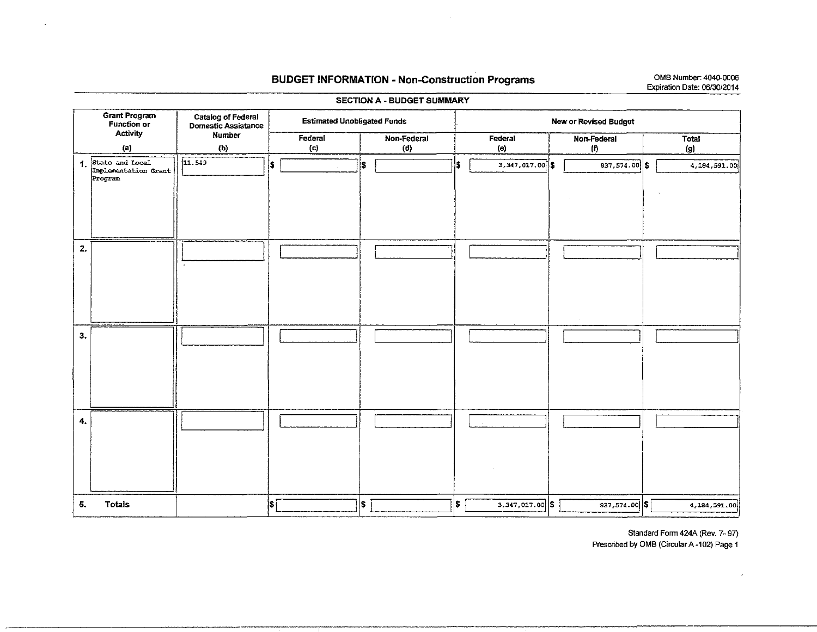#### BUDGET INFORMATION - Non-Construction Programs OMB Number: 4040-0006

#### Grant Program Function or **Activity** (a) 1. State and Local Implementation Grant Program 2. 3. 4. 5. Totals Catalog of Federal<br>
Domestic Assistance<br>
Number Foderal Estimated Unobligated Funds<br>
Non Estimated Unobligated Funds Iumber Federal Non-Federal<br>
(b) (c) (d) (b) (c) (d)  $|11.549|$   $|5 \t|$   $|5 \t|$ |<br>|i I I I I I I **Internet** I i I I I ·I I I I I I I I I '  $|$  s  $\fbox{13}$  is  $\fbox{24}$ New or Revised Budget **Federal** (e) '  $3,347,017.00$   $\left| \right.$  \$ I I I L  $3,347,017.00$  \$ Non-Federal Total<br>
(f) (g)  $(g)$  $837,574.00$   $\left| \right.$   $\left| \right.$   $\left| \right.$   $\left| \right.$   $\left| \right.$   $\left| \right.$   $\left| \right.$   $\left| \right.$   $\left| \right.$   $\left| \right.$   $\left| \right.$   $\left| \right.$   $\left| \right.$   $\left| \right.$   $\left| \right.$   $\left| \right.$   $\left| \right.$   $\left| \right.$   $\left| \right.$   $\left| \right.$   $\left| \right.$   $\left| \right.$   $\left| \right.$  ' I I I I  $\lfloor$ 837,574.00 \$1 4,184,591.00

\*\*\*\*\*\*\*\*\*\*\*\*\*\*\*\*\*\*\*\*\*\*\*\*\*\*\*\*

#### SECTION A- BUDGET SUMMARY

Standard Form 424A (Rev. 7- 97)

Prescribed by OMB (Circular A-102) Page 1

Expiration Date: 06130/2014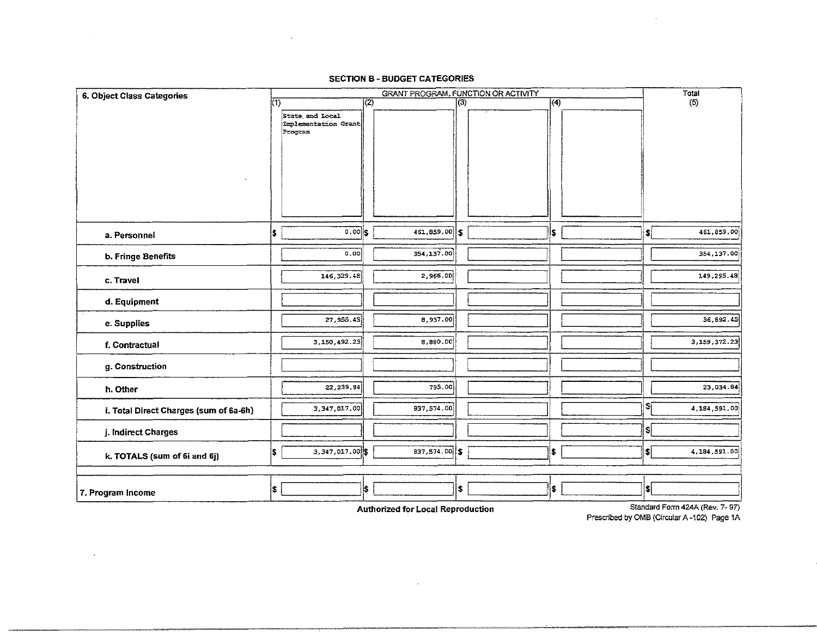#### SECTION B- BUDGET CATEGORIES

 $\sim$ 

 $\sim$ 

|                                        |                                     |                                                    |     | SECTION B - BUDGET CATEGORIES |            |      |                             |                |
|----------------------------------------|-------------------------------------|----------------------------------------------------|-----|-------------------------------|------------|------|-----------------------------|----------------|
| 6. Object Class Categories             | GRANT PROGRAM, FUNCTION OR ACTIVITY |                                                    |     |                               |            |      | Total                       |                |
|                                        | 们                                   | State and Local<br>Implementation Grant<br>Program | (2) |                               | $\sqrt{3}$ | ক্   |                             | (5)            |
| a. Personnel                           | 5                                   | $0.00$ s                                           |     | $461,859.00$ \$               |            | I\$. | $\left  \cdot \right $      | 461,859.00     |
| b. Fringe Benefits                     |                                     | 0.00                                               |     | 354, 137.00                   |            |      |                             | 354,137.00     |
| c. Travel                              |                                     | 146.329.48                                         |     | 2,966.00                      |            |      |                             | 149,295.48     |
| d. Equipment                           |                                     |                                                    |     |                               |            |      |                             |                |
| e. Supplies                            |                                     | 27, 955. 45                                        |     | 8,937.00                      |            |      |                             | 36,892.45      |
| f. Contractual                         |                                     | 3,150,492.23                                       |     | 8,880.00                      |            |      |                             | 3.159, 372.23  |
| g. Construction                        |                                     |                                                    |     |                               |            |      |                             |                |
| h. Other                               |                                     | 22, 239. 84                                        |     | 795.00                        |            |      |                             | 23,034.84      |
| i. Total Direct Charges (sum of 6a-6h) |                                     | 3,347,017.00                                       |     | 837, 574, 00                  |            |      | ¦\$i                        | 4, 184, 591.00 |
| j. Indirect Charges                    |                                     |                                                    |     |                               |            |      | \$                          |                |
| k. TOTALS (sum of 6i and 6j)           | 5                                   | 3,347 017 00 \$                                    |     | 837,574.00 \$                 |            | \$   | $ \boldsymbol{\mathsf{s}} $ | 4.184,591.00   |
| 7. Program Income                      | \$                                  |                                                    | \$  |                               | \$         | \$   | \$                          |                |

 $\sim 100$  km s  $^{-1}$ 

Authorized for Local Reproduction Standard Form 424A (Rev. 7-97) Prescribed by OMS (Circular A-102) Page 1A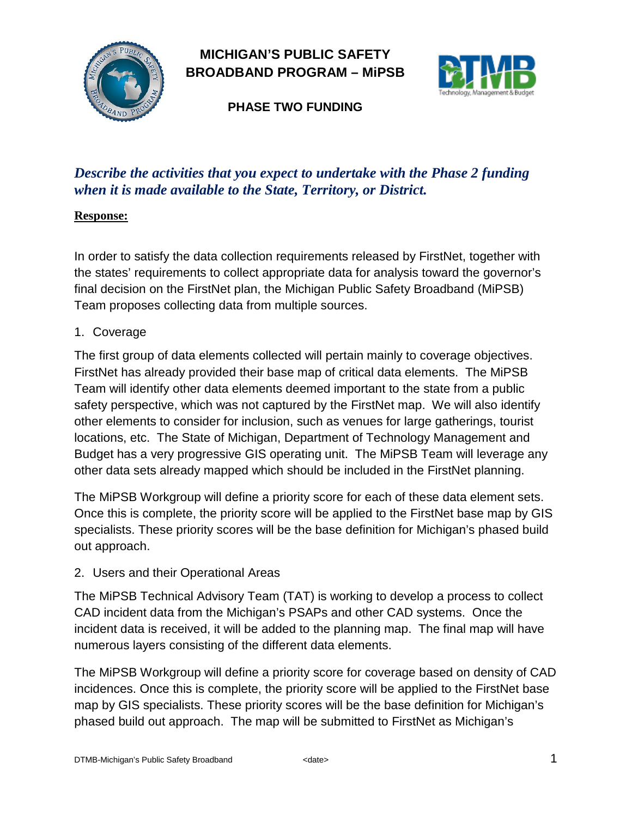

# **MICHIGAN'S PUBLIC SAFETY BROADBAND PROGRAM – MiPSB**



**PHASE TWO FUNDING**

# *Describe the activities that you expect to undertake with the Phase 2 funding when it is made available to the State, Territory, or District.*

#### **Response:**

In order to satisfy the data collection requirements released by FirstNet, together with the states' requirements to collect appropriate data for analysis toward the governor's final decision on the FirstNet plan, the Michigan Public Safety Broadband (MiPSB) Team proposes collecting data from multiple sources.

1. Coverage

The first group of data elements collected will pertain mainly to coverage objectives. FirstNet has already provided their base map of critical data elements. The MiPSB Team will identify other data elements deemed important to the state from a public safety perspective, which was not captured by the FirstNet map. We will also identify other elements to consider for inclusion, such as venues for large gatherings, tourist locations, etc. The State of Michigan, Department of Technology Management and Budget has a very progressive GIS operating unit. The MiPSB Team will leverage any other data sets already mapped which should be included in the FirstNet planning.

The MiPSB Workgroup will define a priority score for each of these data element sets. Once this is complete, the priority score will be applied to the FirstNet base map by GIS specialists. These priority scores will be the base definition for Michigan's phased build out approach.

2. Users and their Operational Areas

The MiPSB Technical Advisory Team (TAT) is working to develop a process to collect CAD incident data from the Michigan's PSAPs and other CAD systems. Once the incident data is received, it will be added to the planning map. The final map will have numerous layers consisting of the different data elements.

The MiPSB Workgroup will define a priority score for coverage based on density of CAD incidences. Once this is complete, the priority score will be applied to the FirstNet base map by GIS specialists. These priority scores will be the base definition for Michigan's phased build out approach. The map will be submitted to FirstNet as Michigan's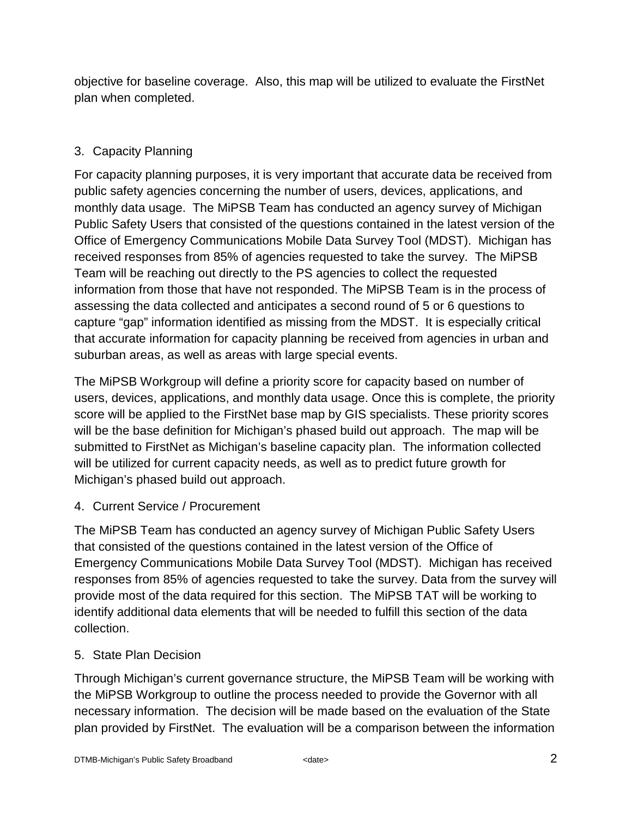objective for baseline coverage. Also, this map will be utilized to evaluate the FirstNet plan when completed.

# 3. Capacity Planning

For capacity planning purposes, it is very important that accurate data be received from public safety agencies concerning the number of users, devices, applications, and monthly data usage. The MiPSB Team has conducted an agency survey of Michigan Public Safety Users that consisted of the questions contained in the latest version of the Office of Emergency Communications Mobile Data Survey Tool (MDST). Michigan has received responses from 85% of agencies requested to take the survey. The MiPSB Team will be reaching out directly to the PS agencies to collect the requested information from those that have not responded. The MiPSB Team is in the process of assessing the data collected and anticipates a second round of 5 or 6 questions to capture "gap" information identified as missing from the MDST. It is especially critical that accurate information for capacity planning be received from agencies in urban and suburban areas, as well as areas with large special events.

The MiPSB Workgroup will define a priority score for capacity based on number of users, devices, applications, and monthly data usage. Once this is complete, the priority score will be applied to the FirstNet base map by GIS specialists. These priority scores will be the base definition for Michigan's phased build out approach. The map will be submitted to FirstNet as Michigan's baseline capacity plan. The information collected will be utilized for current capacity needs, as well as to predict future growth for Michigan's phased build out approach.

4. Current Service / Procurement

The MiPSB Team has conducted an agency survey of Michigan Public Safety Users that consisted of the questions contained in the latest version of the Office of Emergency Communications Mobile Data Survey Tool (MDST). Michigan has received responses from 85% of agencies requested to take the survey. Data from the survey will provide most of the data required for this section. The MiPSB TAT will be working to identify additional data elements that will be needed to fulfill this section of the data collection.

# 5. State Plan Decision

Through Michigan's current governance structure, the MiPSB Team will be working with the MiPSB Workgroup to outline the process needed to provide the Governor with all necessary information. The decision will be made based on the evaluation of the State plan provided by FirstNet. The evaluation will be a comparison between the information